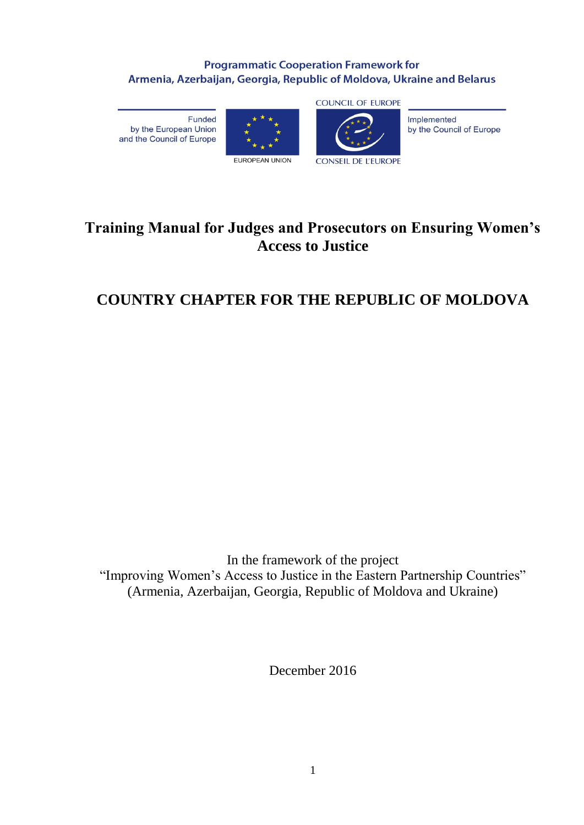# **Programmatic Cooperation Framework for** Armenia, Azerbaijan, Georgia, Republic of Moldova, Ukraine and Belarus

Funded by the European Union and the Council of Europe





**CONSEIL DE L'EUROPE** 

Implemented by the Council of Europe

# **Training Manual for Judges and Prosecutors on Ensuring Women's Access to Justice**

# **COUNTRY CHAPTER FOR THE REPUBLIC OF MOLDOVA**

In the framework of the project "Improving Women's Access to Justice in the Eastern Partnership Countries" (Armenia, Azerbaijan, Georgia, Republic of Moldova and Ukraine)

December 2016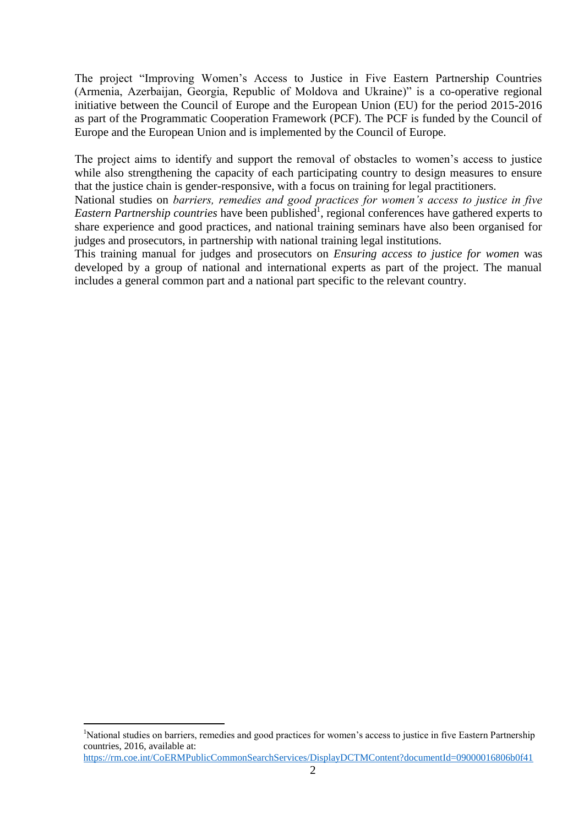The project "Improving Women's Access to Justice in Five Eastern Partnership Countries (Armenia, Azerbaijan, Georgia, Republic of Moldova and Ukraine)" is a co-operative regional initiative between the Council of Europe and the European Union (EU) for the period 2015-2016 as part of the Programmatic Cooperation Framework (PCF). The PCF is funded by the Council of Europe and the European Union and is implemented by the Council of Europe.

The project aims to identify and support the removal of obstacles to women's access to justice while also strengthening the capacity of each participating country to design measures to ensure that the justice chain is gender-responsive, with a focus on training for legal practitioners.

National studies on *barriers, remedies and good practices for women's access to justice in five*  Eastern Partnership countries have been published<sup>1</sup>, regional conferences have gathered experts to share experience and good practices, and national training seminars have also been organised for judges and prosecutors, in partnership with national training legal institutions.

This training manual for judges and prosecutors on *Ensuring access to justice for women* was developed by a group of national and international experts as part of the project. The manual includes a general common part and a national part specific to the relevant country.

<sup>&</sup>lt;sup>1</sup>National studies on barriers, remedies and good practices for women's access to justice in five Eastern Partnership countries, 2016, available at:

<https://rm.coe.int/CoERMPublicCommonSearchServices/DisplayDCTMContent?documentId=09000016806b0f41>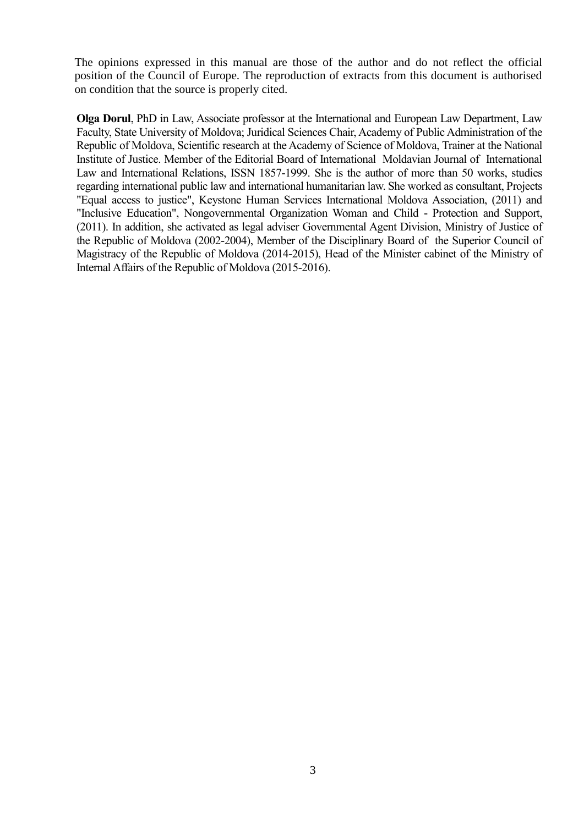The opinions expressed in this manual are those of the author and do not reflect the official position of the Council of Europe. The reproduction of extracts from this document is authorised on condition that the source is properly cited.

**Olga Dorul**, PhD in Law, Associate professor at the International and European Law Department, Law Faculty, State University of Moldova; Juridical Sciences Chair, Academy of Public Administration of the Republic of Moldova, Scientific research at the Academy of Science of Moldova, Trainer at the National Institute of Justice. Member of the Editorial Board of International Moldavian Journal of International Law and International Relations, ISSN 1857-1999. She is the author of more than 50 works, studies regarding international public law and international humanitarian law. She worked as consultant, Projects "Equal access to justice", Keystone Human Services International Moldova Association, (2011) and "Inclusive Education", Nongovernmental Organization Woman and Child - Protection and Support, (2011). In addition, she activated as legal adviser Governmental Agent Division, Ministry of Justice of the Republic of Moldova (2002-2004), Member of the Disciplinary Board of the Superior Council of Magistracy of the Republic of Moldova (2014-2015), Head of the Minister cabinet of the Ministry of Internal Affairs of the Republic of Moldova (2015-2016).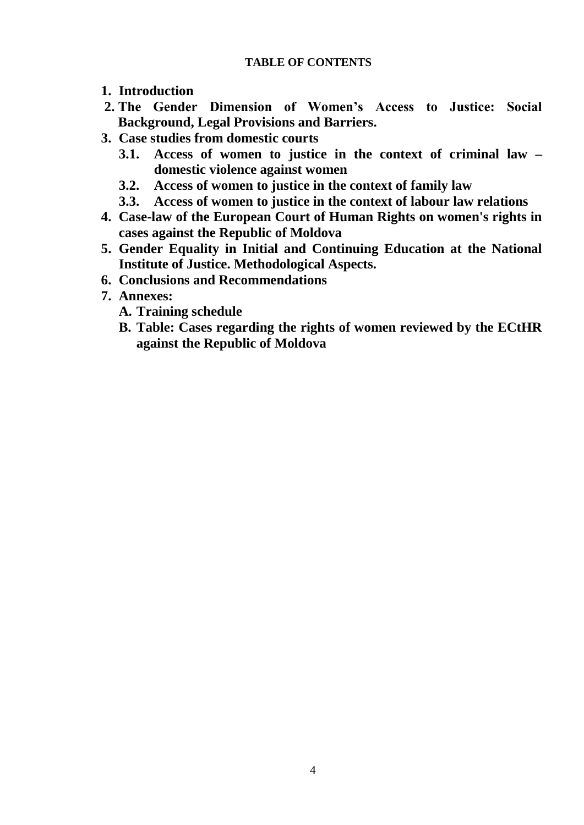## **TABLE OF CONTENTS**

- **1. Introduction**
- **2. The Gender Dimension of Women's Access to Justice: Social Background, Legal Provisions and Barriers.**
- **3. Case studies from domestic courts**
	- **3.1. Access of women to justice in the context of criminal law – domestic violence against women**
	- **3.2. Access of women to justice in the context of family law**
	- **3.3. Access of women to justice in the context of labour law relations**
- **4. Case-law of the European Court of Human Rights on women's rights in cases against the Republic of Moldova**
- **5. Gender Equality in Initial and Continuing Education at the National Institute of Justice. Methodological Aspects.**
- **6. Conclusions and Recommendations**
- **7. Annexes:**
	- **A. Training schedule**
	- **B. Table: Cases regarding the rights of women reviewed by the ECtHR against the Republic of Moldova**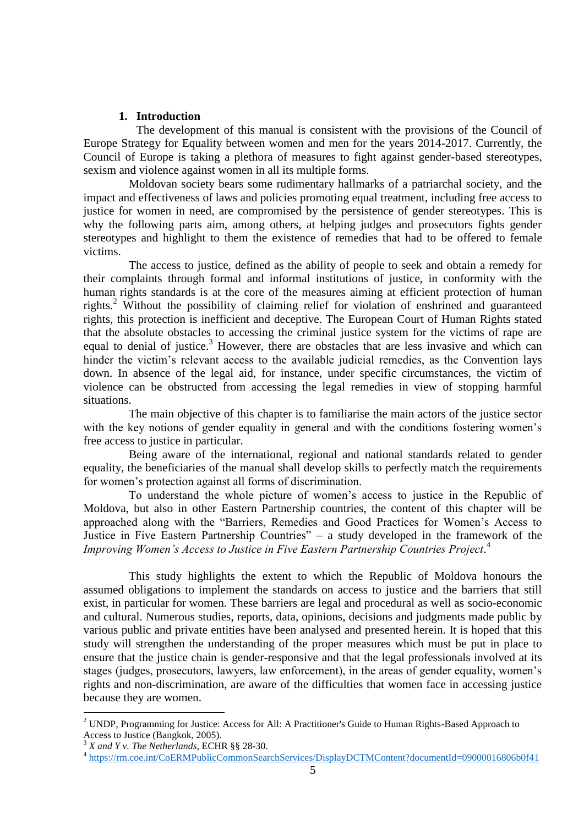#### **1. Introduction**

The development of this manual is consistent with the provisions of the Council of Europe Strategy for Equality between women and men for the years 2014-2017. Currently, the Council of Europe is taking a plethora of measures to fight against gender-based stereotypes, sexism and violence against women in all its multiple forms.

Moldovan society bears some rudimentary hallmarks of a patriarchal society, and the impact and effectiveness of laws and policies promoting equal treatment, including free access to justice for women in need, are compromised by the persistence of gender stereotypes. This is why the following parts aim, among others, at helping judges and prosecutors fights gender stereotypes and highlight to them the existence of remedies that had to be offered to female victims.

The access to justice, defined as the ability of people to seek and obtain a remedy for their complaints through formal and informal institutions of justice, in conformity with the human rights standards is at the core of the measures aiming at efficient protection of human rights.<sup>2</sup> Without the possibility of claiming relief for violation of enshrined and guaranteed rights, this protection is inefficient and deceptive. The European Court of Human Rights stated that the absolute obstacles to accessing the criminal justice system for the victims of rape are equal to denial of justice.<sup>3</sup> However, there are obstacles that are less invasive and which can hinder the victim's relevant access to the available judicial remedies, as the Convention lays down. In absence of the legal aid, for instance, under specific circumstances, the victim of violence can be obstructed from accessing the legal remedies in view of stopping harmful situations.

The main objective of this chapter is to familiarise the main actors of the justice sector with the key notions of gender equality in general and with the conditions fostering women's free access to justice in particular.

Being aware of the international, regional and national standards related to gender equality, the beneficiaries of the manual shall develop skills to perfectly match the requirements for women's protection against all forms of discrimination.

To understand the whole picture of women's access to justice in the Republic of Moldova, but also in other Eastern Partnership countries, the content of this chapter will be approached along with the "Barriers, Remedies and Good Practices for Women's Access to Justice in Five Eastern Partnership Countries" – a study developed in the framework of the *Improving Women's Access to Justice in Five Eastern Partnership Countries Project*. 4

This study highlights the extent to which the Republic of Moldova honours the assumed obligations to implement the standards on access to justice and the barriers that still exist, in particular for women. These barriers are legal and procedural as well as socio-economic and cultural. Numerous studies, reports, data, opinions, decisions and judgments made public by various public and private entities have been analysed and presented herein. It is hoped that this study will strengthen the understanding of the proper measures which must be put in place to ensure that the justice chain is gender-responsive and that the legal professionals involved at its stages (judges, prosecutors, lawyers, law enforcement), in the areas of gender equality, women's rights and non-discrimination, are aware of the difficulties that women face in accessing justice because they are women.

<sup>2</sup> UNDP, Programming for Justice: Access for All: A Practitioner's Guide to Human Rights-Based Approach to Access to Justice (Bangkok, 2005).

<sup>3</sup> *X and Y v. The Netherlands*, ECHR §§ 28-30.

<sup>&</sup>lt;sup>4</sup> <https://rm.coe.int/CoERMPublicCommonSearchServices/DisplayDCTMContent?documentId=09000016806b0f41>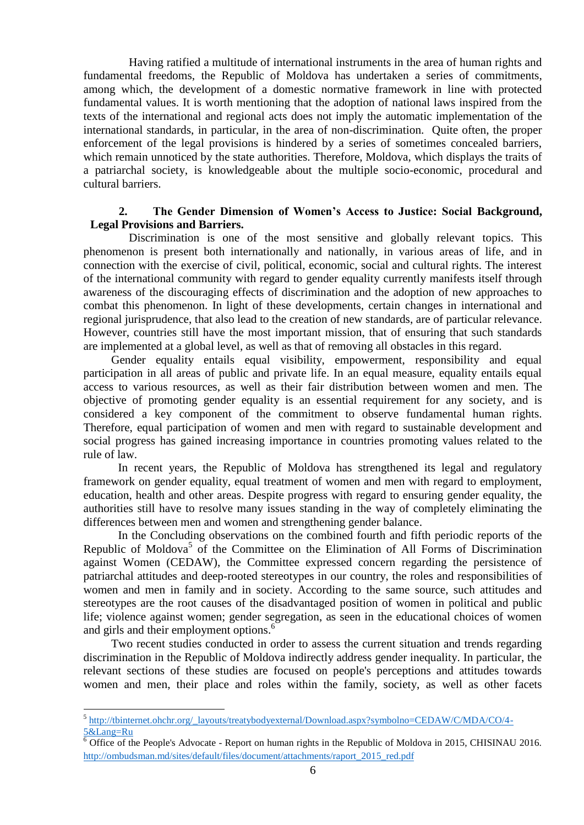Having ratified a multitude of international instruments in the area of human rights and fundamental freedoms, the Republic of Moldova has undertaken a series of commitments, among which, the development of a domestic normative framework in line with protected fundamental values. It is worth mentioning that the adoption of national laws inspired from the texts of the international and regional acts does not imply the automatic implementation of the international standards, in particular, in the area of non-discrimination. Quite often, the proper enforcement of the legal provisions is hindered by a series of sometimes concealed barriers, which remain unnoticed by the state authorities. Therefore, Moldova, which displays the traits of a patriarchal society, is knowledgeable about the multiple socio-economic, procedural and cultural barriers.

### **2. The Gender Dimension of Women's Access to Justice: Social Background, Legal Provisions and Barriers.**

Discrimination is one of the most sensitive and globally relevant topics. This phenomenon is present both internationally and nationally, in various areas of life, and in connection with the exercise of civil, political, economic, social and cultural rights. The interest of the international community with regard to gender equality currently manifests itself through awareness of the discouraging effects of discrimination and the adoption of new approaches to combat this phenomenon. In light of these developments, certain changes in international and regional jurisprudence, that also lead to the creation of new standards, are of particular relevance. However, countries still have the most important mission, that of ensuring that such standards are implemented at a global level, as well as that of removing all obstacles in this regard.

Gender equality entails equal visibility, empowerment, responsibility and equal participation in all areas of public and private life. In an equal measure, equality entails equal access to various resources, as well as their fair distribution between women and men. The objective of promoting gender equality is an essential requirement for any society, and is considered a key component of the commitment to observe fundamental human rights. Therefore, equal participation of women and men with regard to sustainable development and social progress has gained increasing importance in countries promoting values related to the rule of law.

In recent years, the Republic of Moldova has strengthened its legal and regulatory framework on gender equality, equal treatment of women and men with regard to employment, education, health and other areas. Despite progress with regard to ensuring gender equality, the authorities still have to resolve many issues standing in the way of completely eliminating the differences between men and women and strengthening gender balance.

In the Concluding observations on the combined fourth and fifth periodic reports of the Republic of Moldova<sup>5</sup> of the Committee on the Elimination of All Forms of Discrimination against Women (CEDAW), the Committee expressed concern regarding the persistence of patriarchal attitudes and deep-rooted stereotypes in our country, the roles and responsibilities of women and men in family and in society. According to the same source, such attitudes and stereotypes are the root causes of the disadvantaged position of women in political and public life; violence against women; gender segregation, as seen in the educational choices of women and girls and their employment options. 6

Two recent studies conducted in order to assess the current situation and trends regarding discrimination in the Republic of Moldova indirectly address gender inequality. In particular, the relevant sections of these studies are focused on people's perceptions and attitudes towards women and men, their place and roles within the family, society, as well as other facets

<sup>&</sup>lt;sup>5</sup> [http://tbinternet.ohchr.org/\\_layouts/treatybodyexternal/Download.aspx?symbolno=CEDAW/C/MDA/CO/4-](http://tbinternet.ohchr.org/_layouts/treatybodyexternal/Download.aspx?symbolno=CEDAW/C/MDA/CO/4-5&Lang=Ru) [5&Lang=Ru](http://tbinternet.ohchr.org/_layouts/treatybodyexternal/Download.aspx?symbolno=CEDAW/C/MDA/CO/4-5&Lang=Ru)

 $\overline{6}$  Office of the People's Advocate - Report on human rights in the Republic of Moldova in 2015, CHISINAU 2016. [http://ombudsman.md/sites/default/files/document/attachments/raport\\_2015\\_red.pdf](http://ombudsman.md/sites/default/files/document/attachments/raport_2015_red.pdf)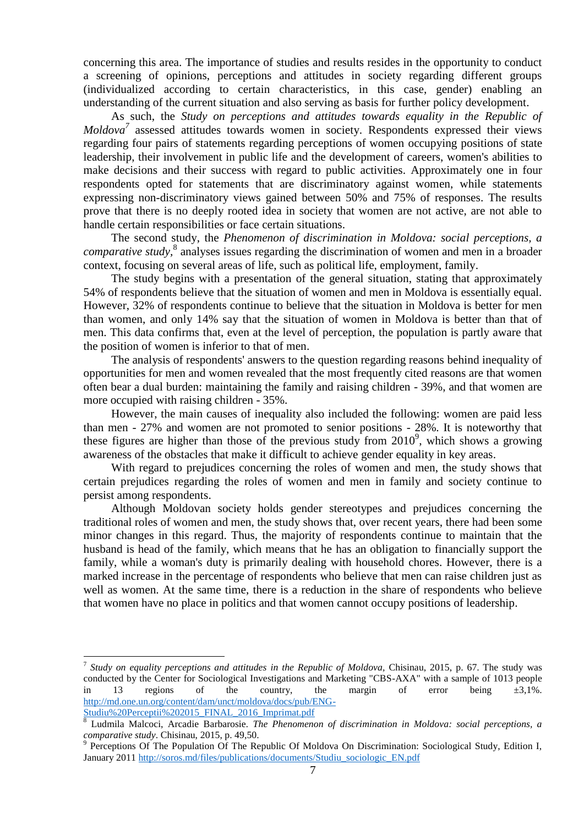concerning this area. The importance of studies and results resides in the opportunity to conduct a screening of opinions, perceptions and attitudes in society regarding different groups (individualized according to certain characteristics, in this case, gender) enabling an understanding of the current situation and also serving as basis for further policy development.

As such, the *Study on perceptions and attitudes towards equality in the Republic of Moldova<sup>7</sup>* assessed attitudes towards women in society. Respondents expressed their views regarding four pairs of statements regarding perceptions of women occupying positions of state leadership, their involvement in public life and the development of careers, women's abilities to make decisions and their success with regard to public activities. Approximately one in four respondents opted for statements that are discriminatory against women, while statements expressing non-discriminatory views gained between 50% and 75% of responses. The results prove that there is no deeply rooted idea in society that women are not active, are not able to handle certain responsibilities or face certain situations.

The second study, the *Phenomenon of discrimination in Moldova: social perceptions, a*  comparative study,<sup>8</sup> analyses issues regarding the discrimination of women and men in a broader context, focusing on several areas of life, such as political life, employment, family.

The study begins with a presentation of the general situation, stating that approximately 54% of respondents believe that the situation of women and men in Moldova is essentially equal. However, 32% of respondents continue to believe that the situation in Moldova is better for men than women, and only 14% say that the situation of women in Moldova is better than that of men. This data confirms that, even at the level of perception, the population is partly aware that the position of women is inferior to that of men.

The analysis of respondents' answers to the question regarding reasons behind inequality of opportunities for men and women revealed that the most frequently cited reasons are that women often bear a dual burden: maintaining the family and raising children - 39%, and that women are more occupied with raising children - 35%.

However, the main causes of inequality also included the following: women are paid less than men - 27% and women are not promoted to senior positions - 28%. It is noteworthy that these figures are higher than those of the previous study from  $2010^9$ , which shows a growing awareness of the obstacles that make it difficult to achieve gender equality in key areas.

With regard to prejudices concerning the roles of women and men, the study shows that certain prejudices regarding the roles of women and men in family and society continue to persist among respondents.

Although Moldovan society holds gender stereotypes and prejudices concerning the traditional roles of women and men, the study shows that, over recent years, there had been some minor changes in this regard. Thus, the majority of respondents continue to maintain that the husband is head of the family, which means that he has an obligation to financially support the family, while a woman's duty is primarily dealing with household chores. However, there is a marked increase in the percentage of respondents who believe that men can raise children just as well as women. At the same time, there is a reduction in the share of respondents who believe that women have no place in politics and that women cannot occupy positions of leadership.

<sup>7</sup> *Study on equality perceptions and attitudes in the Republic of Moldova,* Chisinau, 2015, p. 67. The study was conducted by the Center for Sociological Investigations and Marketing "CBS-AXA" with a sample of 1013 people in 13 regions of the country, the margin of error being  $\pm 3.1\%$ . [http://md.one.un.org/content/dam/unct/moldova/docs/pub/ENG-](http://md.one.un.org/content/dam/unct/moldova/docs/pub/ENG-Studiu%20Perceptii%202015_FINAL_2016_Imprimat.pdf)[Studiu%20Perceptii%202015\\_FINAL\\_2016\\_Imprimat.pdf](http://md.one.un.org/content/dam/unct/moldova/docs/pub/ENG-Studiu%20Perceptii%202015_FINAL_2016_Imprimat.pdf)

<sup>8</sup> Ludmila Malcoci, Arcadie Barbarosie*. The Phenomenon of discrimination in Moldova: social perceptions, a comparative study*. Chisinau, 2015, p. 49,50.

<sup>&</sup>lt;sup>9</sup> Perceptions Of The Population Of The Republic Of Moldova On Discrimination: Sociological Study, Edition I, January 2011 [http://soros.md/files/publications/documents/Studiu\\_sociologic\\_EN.pdf](http://soros.md/files/publications/documents/Studiu_sociologic_EN.pdf)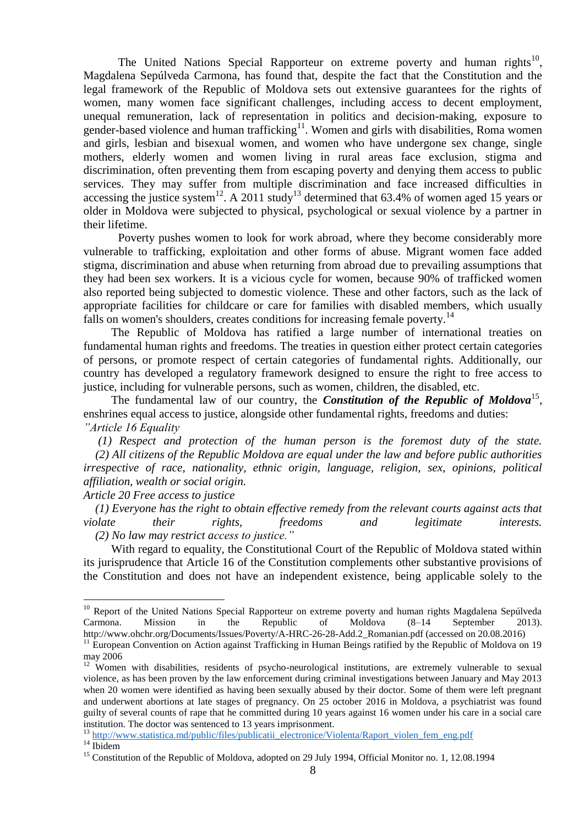The United Nations Special Rapporteur on extreme poverty and human rights<sup>10</sup>, Magdalena Sepúlveda Carmona, has found that, despite the fact that the Constitution and the legal framework of the Republic of Moldova sets out extensive guarantees for the rights of women, many women face significant challenges, including access to decent employment, unequal remuneration, lack of representation in politics and decision-making, exposure to gender-based violence and human trafficking<sup>11</sup>. Women and girls with disabilities, Roma women and girls, lesbian and bisexual women, and women who have undergone sex change, single mothers, elderly women and women living in rural areas face exclusion, stigma and discrimination, often preventing them from escaping poverty and denying them access to public services. They may suffer from multiple discrimination and face increased difficulties in accessing the justice system<sup>12</sup>. A 2011 study<sup>13</sup> determined that 63.4% of women aged 15 years or older in Moldova were subjected to physical, psychological or sexual violence by a partner in their lifetime.

Poverty pushes women to look for work abroad, where they become considerably more vulnerable to trafficking, exploitation and other forms of abuse. Migrant women face added stigma, discrimination and abuse when returning from abroad due to prevailing assumptions that they had been sex workers. It is a vicious cycle for women, because 90% of trafficked women also reported being subjected to domestic violence. These and other factors, such as the lack of appropriate facilities for childcare or care for families with disabled members, which usually falls on women's shoulders, creates conditions for increasing female poverty.<sup>14</sup>

The Republic of Moldova has ratified a large number of international treaties on fundamental human rights and freedoms. The treaties in question either protect certain categories of persons, or promote respect of certain categories of fundamental rights. Additionally, our country has developed a regulatory framework designed to ensure the right to free access to justice, including for vulnerable persons, such as women, children, the disabled, etc.

The fundamental law of our country, the *Constitution of the Republic of Moldova*<sup>15</sup>, enshrines equal access to justice, alongside other fundamental rights, freedoms and duties: *"Article 16 Equality*

 *(1) Respect and protection of the human person is the foremost duty of the state. (2) All citizens of the Republic Moldova are equal under the law and before public authorities irrespective of race, nationality, ethnic origin, language, religion, sex, opinions, political affiliation, wealth or social origin.*

*Article 20 Free access to justice*

 *(1) Everyone has the right to obtain effective remedy from the relevant courts against acts that violate their rights, freedoms and legitimate interests. (2) No law may restrict access to justice."*

With regard to equality, the Constitutional Court of the Republic of Moldova stated within its jurisprudence that Article 16 of the Constitution complements other substantive provisions of the Constitution and does not have an independent existence, being applicable solely to the

[http://www.statistica.md/public/files/publicatii\\_electronice/Violenta/Raport\\_violen\\_fem\\_eng.pdf](http://www.statistica.md/public/files/publicatii_electronice/Violenta/Raport_violen_fem_eng.pdf)

<sup>&</sup>lt;sup>10</sup> Report of the United Nations Special Rapporteur on extreme poverty and human rights Magdalena Sepúlveda Carmona. Mission in the Republic of Moldova (8–14 September 2013). http://www.ohchr.org/Documents/Issues/Poverty/A-HRC-26-28-Add.2\_Romanian.pdf (accessed on 20.08.2016)

<sup>&</sup>lt;sup>11</sup> European Convention on Action against Trafficking in Human Beings ratified by the Republic of Moldova on 19 may 2006

<sup>&</sup>lt;sup>12</sup> Women with disabilities, residents of psycho-neurological institutions, are extremely vulnerable to sexual violence, as has been proven by the law enforcement during criminal investigations between January and May 2013 when 20 women were identified as having been sexually abused by their doctor. Some of them were left pregnant and underwent abortions at late stages of pregnancy. On 25 october 2016 in Moldova, a psychiatrist was found guilty of several counts of rape that he committed during 10 years against 16 women under his care in a social care institution. The doctor was sentenced to 13 years imprisonment.

 $14$  Ibidem

<sup>&</sup>lt;sup>15</sup> Constitution of the Republic of Moldova, adopted on 29 July 1994, Official Monitor no. 1, 12.08.1994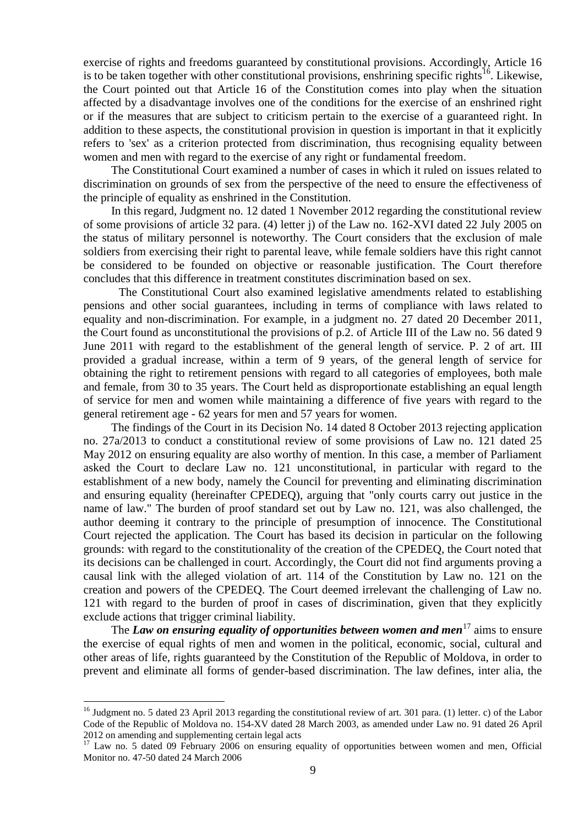exercise of rights and freedoms guaranteed by constitutional provisions. Accordingly, Article 16 is to be taken together with other constitutional provisions, enshrining specific rights<sup>16</sup>. Likewise, the Court pointed out that Article 16 of the Constitution comes into play when the situation affected by a disadvantage involves one of the conditions for the exercise of an enshrined right or if the measures that are subject to criticism pertain to the exercise of a guaranteed right. In addition to these aspects, the constitutional provision in question is important in that it explicitly refers to 'sex' as a criterion protected from discrimination, thus recognising equality between women and men with regard to the exercise of any right or fundamental freedom.

The Constitutional Court examined a number of cases in which it ruled on issues related to discrimination on grounds of sex from the perspective of the need to ensure the effectiveness of the principle of equality as enshrined in the Constitution.

In this regard, Judgment no. 12 dated 1 November 2012 regarding the constitutional review of some provisions of article 32 para. (4) letter j) of the Law no. 162-XVI dated 22 July 2005 on the status of military personnel is noteworthy. The Court considers that the exclusion of male soldiers from exercising their right to parental leave, while female soldiers have this right cannot be considered to be founded on objective or reasonable justification. The Court therefore concludes that this difference in treatment constitutes discrimination based on sex.

The Constitutional Court also examined legislative amendments related to establishing pensions and other social guarantees, including in terms of compliance with laws related to equality and non-discrimination. For example, in a judgment no. 27 dated 20 December 2011, the Court found as unconstitutional the provisions of p.2. of Article III of the Law no. 56 dated 9 June 2011 with regard to the establishment of the general length of service. P. 2 of art. III provided a gradual increase, within a term of 9 years, of the general length of service for obtaining the right to retirement pensions with regard to all categories of employees, both male and female, from 30 to 35 years. The Court held as disproportionate establishing an equal length of service for men and women while maintaining a difference of five years with regard to the general retirement age - 62 years for men and 57 years for women.

The findings of the Court in its Decision No. 14 dated 8 October 2013 rejecting application no. 27a/2013 to conduct a constitutional review of some provisions of Law no. 121 dated 25 May 2012 on ensuring equality are also worthy of mention. In this case, a member of Parliament asked the Court to declare Law no. 121 unconstitutional, in particular with regard to the establishment of a new body, namely the Council for preventing and eliminating discrimination and ensuring equality (hereinafter CPEDEQ), arguing that "only courts carry out justice in the name of law." The burden of proof standard set out by Law no. 121, was also challenged, the author deeming it contrary to the principle of presumption of innocence. The Constitutional Court rejected the application. The Court has based its decision in particular on the following grounds: with regard to the constitutionality of the creation of the CPEDEQ, the Court noted that its decisions can be challenged in court. Accordingly, the Court did not find arguments proving a causal link with the alleged violation of art. 114 of the Constitution by Law no. 121 on the creation and powers of the CPEDEQ. The Court deemed irrelevant the challenging of Law no. 121 with regard to the burden of proof in cases of discrimination, given that they explicitly exclude actions that trigger criminal liability.

The *Law on ensuring equality of opportunities between women and men*<sup>17</sup> aims to ensure the exercise of equal rights of men and women in the political, economic, social, cultural and other areas of life, rights guaranteed by the Constitution of the Republic of Moldova, in order to prevent and eliminate all forms of gender-based discrimination. The law defines, inter alia, the

<sup>&</sup>lt;sup>16</sup> Judgment no. 5 dated 23 April 2013 regarding the constitutional review of art. 301 para. (1) letter. c) of the Labor Code of the Republic of Moldova no. 154-XV dated 28 March 2003, as amended under Law no. 91 dated 26 April 2012 on amending and supplementing certain legal acts

<sup>&</sup>lt;sup>17</sup> Law no. 5 dated 09 February 2006 on ensuring equality of opportunities between women and men, Official Monitor no. 47-50 dated 24 March 2006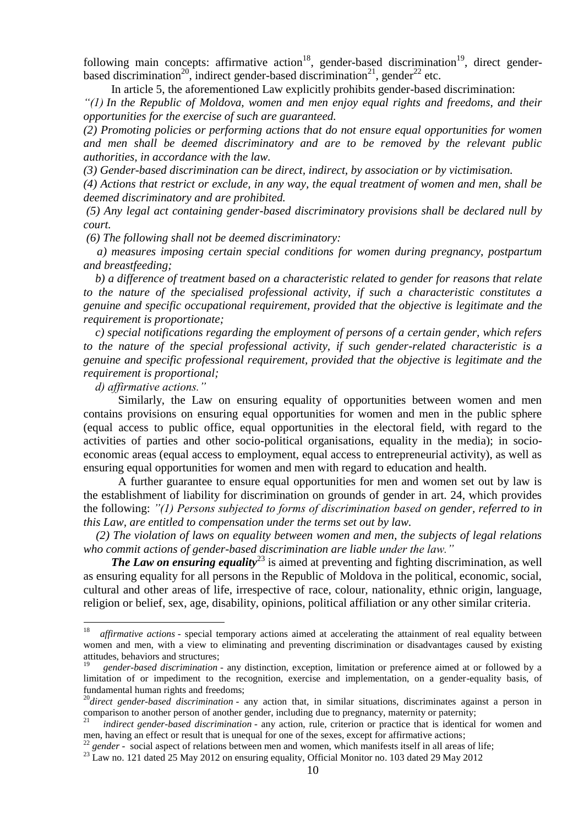following main concepts: affirmative action<sup>18</sup>, gender-based discrimination<sup>19</sup>, direct genderbased discrimination<sup>20</sup>, indirect gender-based discrimination<sup>21</sup>, gender<sup>22</sup> etc.

In article 5, the aforementioned Law explicitly prohibits gender-based discrimination: *"(1) In the Republic of Moldova, women and men enjoy equal rights and freedoms, and their* 

*opportunities for the exercise of such are guaranteed.*

*(2) Promoting policies or performing actions that do not ensure equal opportunities for women and men shall be deemed discriminatory and are to be removed by the relevant public authorities, in accordance with the law.*

*(3) Gender-based discrimination can be direct, indirect, by association or by victimisation.*

*(4) Actions that restrict or exclude, in any way, the equal treatment of women and men, shall be deemed discriminatory and are prohibited.*

*(5) Any legal act containing gender-based discriminatory provisions shall be declared null by court.*

*(6) The following shall not be deemed discriminatory:*

 *a) measures imposing certain special conditions for women during pregnancy, postpartum and breastfeeding;*

 *b) a difference of treatment based on a characteristic related to gender for reasons that relate to the nature of the specialised professional activity, if such a characteristic constitutes a genuine and specific occupational requirement, provided that the objective is legitimate and the requirement is proportionate;*

 *c) special notifications regarding the employment of persons of a certain gender, which refers to the nature of the special professional activity, if such gender-related characteristic is a genuine and specific professional requirement, provided that the objective is legitimate and the requirement is proportional;*

 *d) affirmative actions."*

<u>.</u>

Similarly, the Law on ensuring equality of opportunities between women and men contains provisions on ensuring equal opportunities for women and men in the public sphere (equal access to public office, equal opportunities in the electoral field, with regard to the activities of parties and other socio-political organisations, equality in the media); in socioeconomic areas (equal access to employment, equal access to entrepreneurial activity), as well as ensuring equal opportunities for women and men with regard to education and health.

A further guarantee to ensure equal opportunities for men and women set out by law is the establishment of liability for discrimination on grounds of gender in art. 24, which provides the following: *"(1) Persons subjected to forms of discrimination based on gender, referred to in this Law, are entitled to compensation under the terms set out by law.* 

 *(2) The violation of laws on equality between women and men, the subjects of legal relations who commit actions of gender-based discrimination are liable under the law."*

*The Law on ensuring equality*<sup>23</sup> is aimed at preventing and fighting discrimination, as well as ensuring equality for all persons in the Republic of Moldova in the political, economic, social, cultural and other areas of life, irrespective of race, colour, nationality, ethnic origin, language, religion or belief, sex, age, disability, opinions, political affiliation or any other similar criteria.

<sup>&</sup>lt;sup>18</sup> *affirmative actions* - special temporary actions aimed at accelerating the attainment of real equality between women and men, with a view to eliminating and preventing discrimination or disadvantages caused by existing attitudes, behaviors and structures;

<sup>19</sup> *gender-based discrimination* - any distinction, exception, limitation or preference aimed at or followed by a limitation of or impediment to the recognition, exercise and implementation, on a gender-equality basis, of fundamental human rights and freedoms;

<sup>20</sup>*direct gender-based discrimination* - any action that, in similar situations, discriminates against a person in comparison to another person of another gender, including due to pregnancy, maternity or paternity;

<sup>21</sup> *indirect gender-based discrimination* - any action, rule, criterion or practice that is identical for women and men, having an effect or result that is unequal for one of the sexes, except for affirmative actions;

gender - social aspect of relations between men and women, which manifests itself in all areas of life;

<sup>&</sup>lt;sup>23</sup> Law no. 121 dated 25 May 2012 on ensuring equality, Official Monitor no. 103 dated 29 May 2012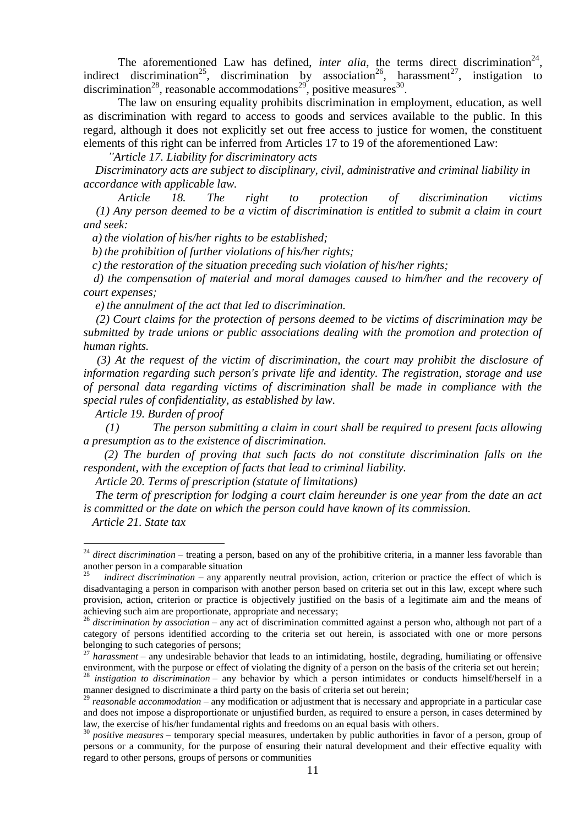The aforementioned Law has defined, *inter alia*, the terms direct discrimination<sup>24</sup>, indirect discrimination<sup>25</sup>, discrimination by association<sup>26</sup>, harassment<sup>27</sup>, instigation to discrimination<sup>28</sup>, reasonable accommodations<sup>29</sup>, positive measures<sup>30</sup>.

The law on ensuring equality prohibits discrimination in employment, education, as well as discrimination with regard to access to goods and services available to the public. In this regard, although it does not explicitly set out free access to justice for women, the constituent elements of this right can be inferred from Articles 17 to 19 of the aforementioned Law:

*"Article 17. Liability for discriminatory acts*

 *Discriminatory acts are subject to disciplinary, civil, administrative and criminal liability in accordance with applicable law.*

 *Article 18. The right to protection of discrimination victims (1) Any person deemed to be a victim of discrimination is entitled to submit a claim in court and seek:*

 *a) the violation of his/her rights to be established;*

 *b) the prohibition of further violations of his/her rights;*

 *c) the restoration of the situation preceding such violation of his/her rights;*

 *d) the compensation of material and moral damages caused to him/her and the recovery of court expenses;*

 *e) the annulment of the act that led to discrimination.*

 *(2) Court claims for the protection of persons deemed to be victims of discrimination may be submitted by trade unions or public associations dealing with the promotion and protection of human rights.*

 *(3) At the request of the victim of discrimination, the court may prohibit the disclosure of information regarding such person's private life and identity. The registration, storage and use of personal data regarding victims of discrimination shall be made in compliance with the special rules of confidentiality, as established by law.*

 *Article 19. Burden of proof*

*(1) The person submitting a claim in court shall be required to present facts allowing a presumption as to the existence of discrimination.*

*(2) The burden of proving that such facts do not constitute discrimination falls on the respondent, with the exception of facts that lead to criminal liability.*

 *Article 20. Terms of prescription (statute of limitations)*

 *The term of prescription for lodging a court claim hereunder is one year from the date an act is committed or the date on which the person could have known of its commission.*

 *Article 21. State tax*

<sup>&</sup>lt;sup>24</sup> direct discrimination – treating a person, based on any of the prohibitive criteria, in a manner less favorable than another person in a comparable situation

<sup>25</sup> *indirect discrimination* – any apparently neutral provision, action, criterion or practice the effect of which is disadvantaging a person in comparison with another person based on criteria set out in this law, except where such provision, action, criterion or practice is objectively justified on the basis of a legitimate aim and the means of achieving such aim are proportionate, appropriate and necessary;

<sup>&</sup>lt;sup>26</sup> discrimination by association – any act of discrimination committed against a person who, although not part of a category of persons identified according to the criteria set out herein, is associated with one or more persons belonging to such categories of persons;

<sup>&</sup>lt;sup>27</sup> harassment – any undesirable behavior that leads to an intimidating, hostile, degrading, humiliating or offensive environment, with the purpose or effect of violating the dignity of a person on the basis of the criteria set out herein;

<sup>&</sup>lt;sup>28</sup> *instigation to discrimination* – any behavior by which a person intimidates or conducts himself/herself in a manner designed to discriminate a third party on the basis of criteria set out herein;

<sup>29</sup> *reasonable accommodation* – any modification or adjustment that is necessary and appropriate in a particular case and does not impose a disproportionate or unjustified burden, as required to ensure a person, in cases determined by law, the exercise of his/her fundamental rights and freedoms on an equal basis with others.

<sup>30</sup> *positive measures* – temporary special measures, undertaken by public authorities in favor of a person, group of persons or a community, for the purpose of ensuring their natural development and their effective equality with regard to other persons, groups of persons or communities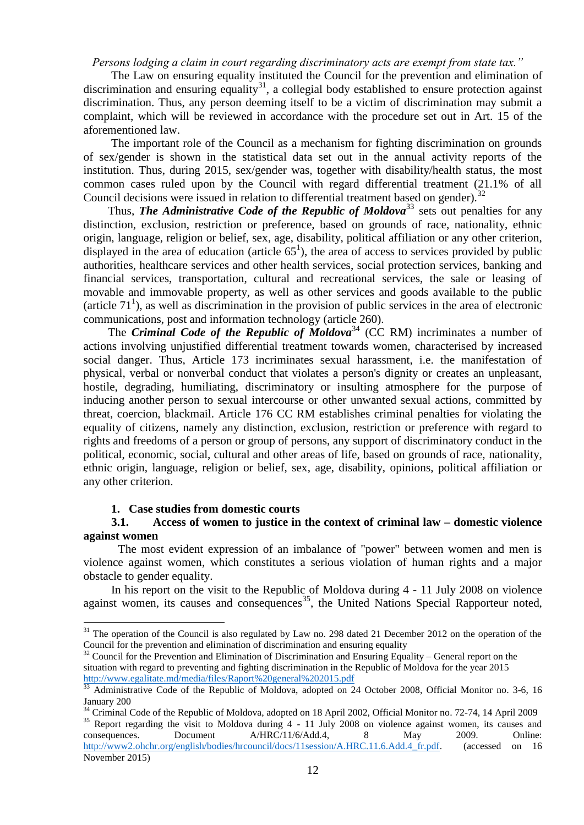*Persons lodging a claim in court regarding discriminatory acts are exempt from state tax."*

The Law on ensuring equality instituted the Council for the prevention and elimination of discrimination and ensuring equality<sup>31</sup>, a collegial body established to ensure protection against discrimination. Thus, any person deeming itself to be a victim of discrimination may submit a complaint, which will be reviewed in accordance with the procedure set out in Art. 15 of the aforementioned law.

The important role of the Council as a mechanism for fighting discrimination on grounds of sex/gender is shown in the statistical data set out in the annual activity reports of the institution. Thus, during 2015, sex/gender was, together with disability/health status, the most common cases ruled upon by the Council with regard differential treatment (21.1% of all Council decisions were issued in relation to differential treatment based on gender).<sup>32</sup>

Thus, *The Administrative Code of the Republic of Moldova*<sup>33</sup> sets out penalties for any distinction, exclusion, restriction or preference, based on grounds of race, nationality, ethnic origin, language, religion or belief, sex, age, disability, political affiliation or any other criterion, displayed in the area of education (article  $65<sup>1</sup>$ ), the area of access to services provided by public authorities, healthcare services and other health services, social protection services, banking and financial services, transportation, cultural and recreational services, the sale or leasing of movable and immovable property, as well as other services and goods available to the public (article  $71<sup>1</sup>$ ), as well as discrimination in the provision of public services in the area of electronic communications, post and information technology (article 260).

The *Criminal Code of the Republic of Moldova*<sup>34</sup> (CC RM) incriminates a number of actions involving unjustified differential treatment towards women, characterised by increased social danger. Thus, Article 173 incriminates sexual harassment, i.e. the manifestation of physical, verbal or nonverbal conduct that violates a person's dignity or creates an unpleasant, hostile, degrading, humiliating, discriminatory or insulting atmosphere for the purpose of inducing another person to sexual intercourse or other unwanted sexual actions, committed by threat, coercion, blackmail. Article 176 CC RM establishes criminal penalties for violating the equality of citizens, namely any distinction, exclusion, restriction or preference with regard to rights and freedoms of a person or group of persons, any support of discriminatory conduct in the political, economic, social, cultural and other areas of life, based on grounds of race, nationality, ethnic origin, language, religion or belief, sex, age, disability, opinions, political affiliation or any other criterion.

#### **1. Case studies from domestic courts**

<u>.</u>

#### **3.1. Access of women to justice in the context of criminal law – domestic violence against women**

The most evident expression of an imbalance of "power" between women and men is violence against women, which constitutes a serious violation of human rights and a major obstacle to gender equality.

In his report on the visit to the Republic of Moldova during 4 - 11 July 2008 on violence against women, its causes and consequences<sup>35</sup>, the United Nations Special Rapporteur noted,

<sup>&</sup>lt;sup>31</sup> The operation of the Council is also regulated by Law no. 298 dated 21 December 2012 on the operation of the Council for the prevention and elimination of discrimination and ensuring equality

<sup>&</sup>lt;sup>32</sup> Council for the Prevention and Elimination of Discrimination and Ensuring Equality – General report on the situation with regard to preventing and fighting discrimination in the Republic of Moldova for the year 2015 <http://www.egalitate.md/media/files/Raport%20general%202015.pdf>

<sup>&</sup>lt;sup>33</sup> Administrative Code of the Republic of Moldova, adopted on 24 October 2008, Official Monitor no. 3-6, 16 January 200

<sup>&</sup>lt;sup>34</sup> Criminal Code of the Republic of Moldova, adopted on 18 April 2002, Official Monitor no. 72-74, 14 April 2009

<sup>&</sup>lt;sup>35</sup> Report regarding the visit to Moldova during  $4 - 11$  July 2008 on violence against women, its causes and consequences. Document A/HRC/11/6/Add.4, 8 May 2009. Online: http://www2.ohchr.org/english/bodies/hrcouncil/docs/11session/A.HRC.11.6.Add.4 fr.pdf. (accessed on 16 November 2015)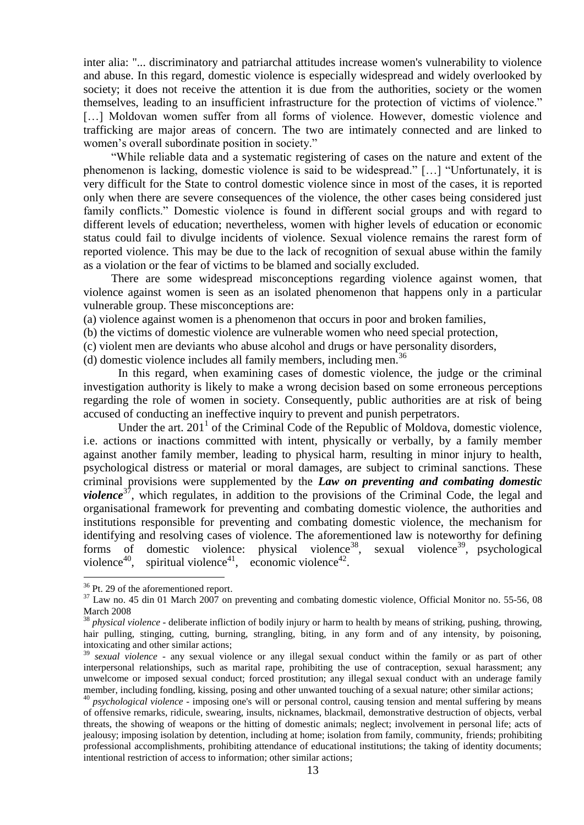inter alia: "... discriminatory and patriarchal attitudes increase women's vulnerability to violence and abuse. In this regard, domestic violence is especially widespread and widely overlooked by society; it does not receive the attention it is due from the authorities, society or the women themselves, leading to an insufficient infrastructure for the protection of victims of violence." [...] Moldovan women suffer from all forms of violence. However, domestic violence and trafficking are major areas of concern. The two are intimately connected and are linked to women's overall subordinate position in society."

"While reliable data and a systematic registering of cases on the nature and extent of the phenomenon is lacking, domestic violence is said to be widespread." […] "Unfortunately, it is very difficult for the State to control domestic violence since in most of the cases, it is reported only when there are severe consequences of the violence, the other cases being considered just family conflicts." Domestic violence is found in different social groups and with regard to different levels of education; nevertheless, women with higher levels of education or economic status could fail to divulge incidents of violence. Sexual violence remains the rarest form of reported violence. This may be due to the lack of recognition of sexual abuse within the family as a violation or the fear of victims to be blamed and socially excluded.

There are some widespread misconceptions regarding violence against women, that violence against women is seen as an isolated phenomenon that happens only in a particular vulnerable group. These misconceptions are:

(a) violence against women is a phenomenon that occurs in poor and broken families,

(b) the victims of domestic violence are vulnerable women who need special protection,

(c) violent men are deviants who abuse alcohol and drugs or have personality disorders,

(d) domestic violence includes all family members, including men. 36

In this regard, when examining cases of domestic violence, the judge or the criminal investigation authority is likely to make a wrong decision based on some erroneous perceptions regarding the role of women in society. Consequently, public authorities are at risk of being accused of conducting an ineffective inquiry to prevent and punish perpetrators.

Under the art.  $201<sup>1</sup>$  of the Criminal Code of the Republic of Moldova, domestic violence, i.e. actions or inactions committed with intent, physically or verbally, by a family member against another family member, leading to physical harm, resulting in minor injury to health, psychological distress or material or moral damages, are subject to criminal sanctions. These criminal provisions were supplemented by the *Law on preventing and combating domestic violence*<sup>37</sup>, which regulates, in addition to the provisions of the Criminal Code, the legal and organisational framework for preventing and combating domestic violence, the authorities and institutions responsible for preventing and combating domestic violence, the mechanism for identifying and resolving cases of violence. The aforementioned law is noteworthy for defining forms of domestic violence: physical violence<sup>38</sup>,  $,$  sexual violence<sup>39</sup>, psychological violence $40$ , , spiritual violence<sup>41</sup>, economic violence<sup>42</sup>.

<sup>&</sup>lt;sup>36</sup> Pt. 29 of the aforementioned report.

 $37$  Law no. 45 din 01 March 2007 on preventing and combating domestic violence, Official Monitor no. 55-56, 08 March 2008

<sup>38</sup> *physical violence* - deliberate infliction of bodily injury or harm to health by means of striking, pushing, throwing, hair pulling, stinging, cutting, burning, strangling, biting, in any form and of any intensity, by poisoning, intoxicating and other similar actions;

<sup>39</sup> *sexual violence* - any sexual violence or any illegal sexual conduct within the family or as part of other interpersonal relationships, such as marital rape, prohibiting the use of contraception, sexual harassment; any unwelcome or imposed sexual conduct; forced prostitution; any illegal sexual conduct with an underage family member, including fondling, kissing, posing and other unwanted touching of a sexual nature; other similar actions;

<sup>40</sup> *psychological violence* - imposing one's will or personal control, causing tension and mental suffering by means of offensive remarks, ridicule, swearing, insults, nicknames, blackmail, demonstrative destruction of objects, verbal threats, the showing of weapons or the hitting of domestic animals; neglect; involvement in personal life; acts of jealousy; imposing isolation by detention, including at home; isolation from family, community, friends; prohibiting professional accomplishments, prohibiting attendance of educational institutions; the taking of identity documents; intentional restriction of access to information; other similar actions;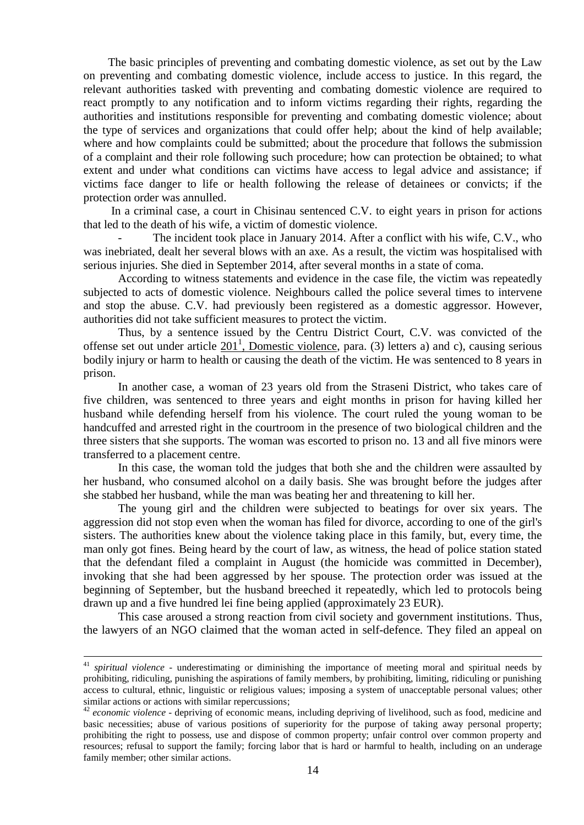The basic principles of preventing and combating domestic violence, as set out by the Law on preventing and combating domestic violence, include access to justice. In this regard, the relevant authorities tasked with preventing and combating domestic violence are required to react promptly to any notification and to inform victims regarding their rights, regarding the authorities and institutions responsible for preventing and combating domestic violence; about the type of services and organizations that could offer help; about the kind of help available; where and how complaints could be submitted; about the procedure that follows the submission of a complaint and their role following such procedure; how can protection be obtained; to what extent and under what conditions can victims have access to legal advice and assistance; if victims face danger to life or health following the release of detainees or convicts; if the protection order was annulled.

In a criminal case, a court in Chisinau sentenced C.V. to eight years in prison for actions that led to the death of his wife, a victim of domestic violence.

The incident took place in January 2014. After a conflict with his wife, C.V., who was inebriated, dealt her several blows with an axe. As a result, the victim was hospitalised with serious injuries. She died in September 2014, after several months in a state of coma.

According to witness statements and evidence in the case file, the victim was repeatedly subjected to acts of domestic violence. Neighbours called the police several times to intervene and stop the abuse. C.V. had previously been registered as a domestic aggressor. However, authorities did not take sufficient measures to protect the victim.

Thus, by a sentence issued by the Centru District Court, C.V. was convicted of the offense set out under article  $201<sup>1</sup>$ , Domestic violence, para. (3) letters a) and c), causing serious bodily injury or harm to health or causing the death of the victim. He was sentenced to 8 years in prison.

In another case, a woman of 23 years old from the Straseni District, who takes care of five children, was sentenced to three years and eight months in prison for having killed her husband while defending herself from his violence. The court ruled the young woman to be handcuffed and arrested right in the courtroom in the presence of two biological children and the three sisters that she supports. The woman was escorted to prison no. 13 and all five minors were transferred to a placement centre.

In this case, the woman told the judges that both she and the children were assaulted by her husband, who consumed alcohol on a daily basis. She was brought before the judges after she stabbed her husband, while the man was beating her and threatening to kill her.

The young girl and the children were subjected to beatings for over six years. The aggression did not stop even when the woman has filed for divorce, according to one of the girl's sisters. The authorities knew about the violence taking place in this family, but, every time, the man only got fines. Being heard by the court of law, as witness, the head of police station stated that the defendant filed a complaint in August (the homicide was committed in December), invoking that she had been aggressed by her spouse. The protection order was issued at the beginning of September, but the husband breeched it repeatedly, which led to protocols being drawn up and a five hundred lei fine being applied (approximately 23 EUR).

This case aroused a strong reaction from civil society and government institutions. Thus, the lawyers of an NGO claimed that the woman acted in self-defence. They filed an appeal on

<sup>41</sup> *spiritual violence* - underestimating or diminishing the importance of meeting moral and spiritual needs by prohibiting, ridiculing, punishing the aspirations of family members, by prohibiting, limiting, ridiculing or punishing access to cultural, ethnic, linguistic or religious values; imposing a system of unacceptable personal values; other similar actions or actions with similar repercussions;

<sup>42</sup> *economic violence* - depriving of economic means, including depriving of livelihood, such as food, medicine and basic necessities; abuse of various positions of superiority for the purpose of taking away personal property; prohibiting the right to possess, use and dispose of common property; unfair control over common property and resources; refusal to support the family; forcing labor that is hard or harmful to health, including on an underage family member; other similar actions.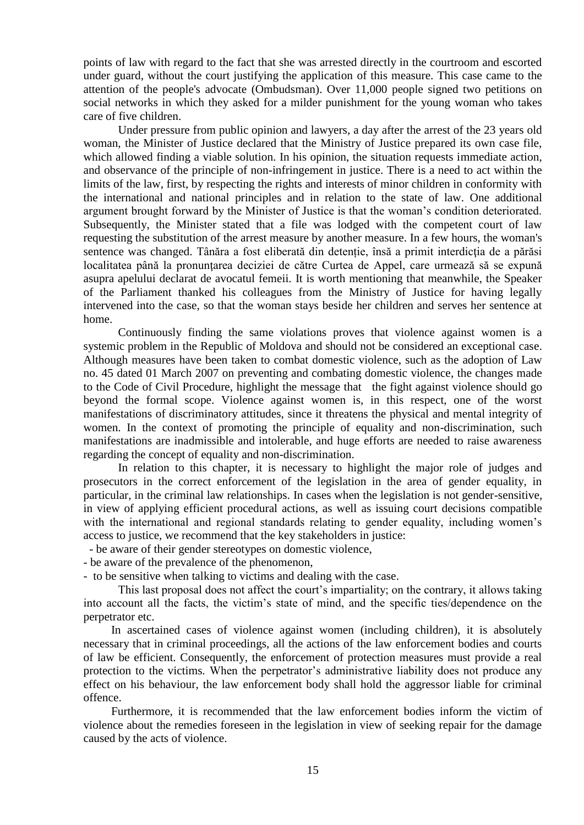points of law with regard to the fact that she was arrested directly in the courtroom and escorted under guard, without the court justifying the application of this measure. This case came to the attention of the people's advocate (Ombudsman). Over 11,000 people signed two petitions on social networks in which they asked for a milder punishment for the young woman who takes care of five children.

Under pressure from public opinion and lawyers, a day after the arrest of the 23 years old woman, the Minister of Justice declared that the Ministry of Justice prepared its own case file, which allowed finding a viable solution. In his opinion, the situation requests immediate action, and observance of the principle of non-infringement in justice. There is a need to act within the limits of the law, first, by respecting the rights and interests of minor children in conformity with the international and national principles and in relation to the state of law. One additional argument brought forward by the Minister of Justice is that the woman's condition deteriorated. Subsequently, the Minister stated that a file was lodged with the competent court of law requesting the substitution of the arrest measure by another measure. In a few hours, the woman's sentence was changed. Tânăra a fost eliberată din detenție, însă a primit interdicția de a părăsi localitatea până la pronunțarea deciziei de către Curtea de Appel, care urmează să se expună asupra apelului declarat de avocatul femeii. It is worth mentioning that meanwhile, the Speaker of the Parliament thanked his colleagues from the Ministry of Justice for having legally intervened into the case, so that the woman stays beside her children and serves her sentence at home.

Continuously finding the same violations proves that violence against women is a systemic problem in the Republic of Moldova and should not be considered an exceptional case. Although measures have been taken to combat domestic violence, such as the adoption of Law no. 45 dated 01 March 2007 on preventing and combating domestic violence, the changes made to the Code of Civil Procedure, highlight the message that the fight against violence should go beyond the formal scope. Violence against women is, in this respect, one of the worst manifestations of discriminatory attitudes, since it threatens the physical and mental integrity of women. In the context of promoting the principle of equality and non-discrimination, such manifestations are inadmissible and intolerable, and huge efforts are needed to raise awareness regarding the concept of equality and non-discrimination.

In relation to this chapter, it is necessary to highlight the major role of judges and prosecutors in the correct enforcement of the legislation in the area of gender equality, in particular, in the criminal law relationships. In cases when the legislation is not gender-sensitive, in view of applying efficient procedural actions, as well as issuing court decisions compatible with the international and regional standards relating to gender equality, including women's access to justice, we recommend that the key stakeholders in justice:

- be aware of their gender stereotypes on domestic violence,
- be aware of the prevalence of the phenomenon,

- to be sensitive when talking to victims and dealing with the case.

This last proposal does not affect the court's impartiality; on the contrary, it allows taking into account all the facts, the victim's state of mind, and the specific ties/dependence on the perpetrator etc.

In ascertained cases of violence against women (including children), it is absolutely necessary that in criminal proceedings, all the actions of the law enforcement bodies and courts of law be efficient. Consequently, the enforcement of protection measures must provide a real protection to the victims. When the perpetrator's administrative liability does not produce any effect on his behaviour, the law enforcement body shall hold the aggressor liable for criminal offence.

Furthermore, it is recommended that the law enforcement bodies inform the victim of violence about the remedies foreseen in the legislation in view of seeking repair for the damage caused by the acts of violence.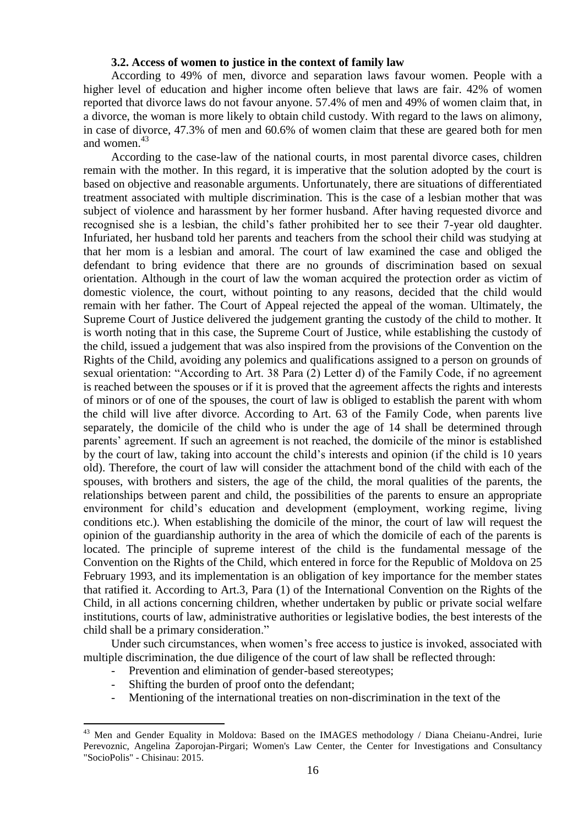#### **3.2. Access of women to justice in the context of family law**

According to 49% of men, divorce and separation laws favour women. People with a higher level of education and higher income often believe that laws are fair. 42% of women reported that divorce laws do not favour anyone. 57.4% of men and 49% of women claim that, in a divorce, the woman is more likely to obtain child custody. With regard to the laws on alimony, in case of divorce, 47.3% of men and 60.6% of women claim that these are geared both for men and women. 43

According to the case-law of the national courts, in most parental divorce cases, children remain with the mother. In this regard, it is imperative that the solution adopted by the court is based on objective and reasonable arguments. Unfortunately, there are situations of differentiated treatment associated with multiple discrimination. This is the case of a lesbian mother that was subject of violence and harassment by her former husband. After having requested divorce and recognised she is a lesbian, the child's father prohibited her to see their 7-year old daughter. Infuriated, her husband told her parents and teachers from the school their child was studying at that her mom is a lesbian and amoral. The court of law examined the case and obliged the defendant to bring evidence that there are no grounds of discrimination based on sexual orientation. Although in the court of law the woman acquired the protection order as victim of domestic violence, the court, without pointing to any reasons, decided that the child would remain with her father. The Court of Appeal rejected the appeal of the woman. Ultimately, the Supreme Court of Justice delivered the judgement granting the custody of the child to mother. It is worth noting that in this case, the Supreme Court of Justice, while establishing the custody of the child, issued a judgement that was also inspired from the provisions of the Convention on the Rights of the Child, avoiding any polemics and qualifications assigned to a person on grounds of sexual orientation: "According to Art. 38 Para (2) Letter d) of the Family Code, if no agreement is reached between the spouses or if it is proved that the agreement affects the rights and interests of minors or of one of the spouses, the court of law is obliged to establish the parent with whom the child will live after divorce. According to Art. 63 of the Family Code, when parents live separately, the domicile of the child who is under the age of 14 shall be determined through parents' agreement. If such an agreement is not reached, the domicile of the minor is established by the court of law, taking into account the child's interests and opinion (if the child is 10 years old). Therefore, the court of law will consider the attachment bond of the child with each of the spouses, with brothers and sisters, the age of the child, the moral qualities of the parents, the relationships between parent and child, the possibilities of the parents to ensure an appropriate environment for child's education and development (employment, working regime, living conditions etc.). When establishing the domicile of the minor, the court of law will request the opinion of the guardianship authority in the area of which the domicile of each of the parents is located. The principle of supreme interest of the child is the fundamental message of the Convention on the Rights of the Child, which entered in force for the Republic of Moldova on 25 February 1993, and its implementation is an obligation of key importance for the member states that ratified it. According to Art.3, Para (1) of the International Convention on the Rights of the Child, in all actions concerning children, whether undertaken by public or private social welfare institutions, courts of law, administrative authorities or legislative bodies, the best interests of the child shall be a primary consideration."

Under such circumstances, when women's free access to justice is invoked, associated with multiple discrimination, the due diligence of the court of law shall be reflected through:

- Prevention and elimination of gender-based stereotypes:
- Shifting the burden of proof onto the defendant;

<u>.</u>

Mentioning of the international treaties on non-discrimination in the text of the

<sup>&</sup>lt;sup>43</sup> Men and Gender Equality in Moldova: Based on the IMAGES methodology / Diana Cheianu-Andrei, Iurie Perevoznic, Angelina Zaporojan-Pirgari; Women's Law Center, the Center for Investigations and Consultancy "SocioPolis" - Chisinau: 2015.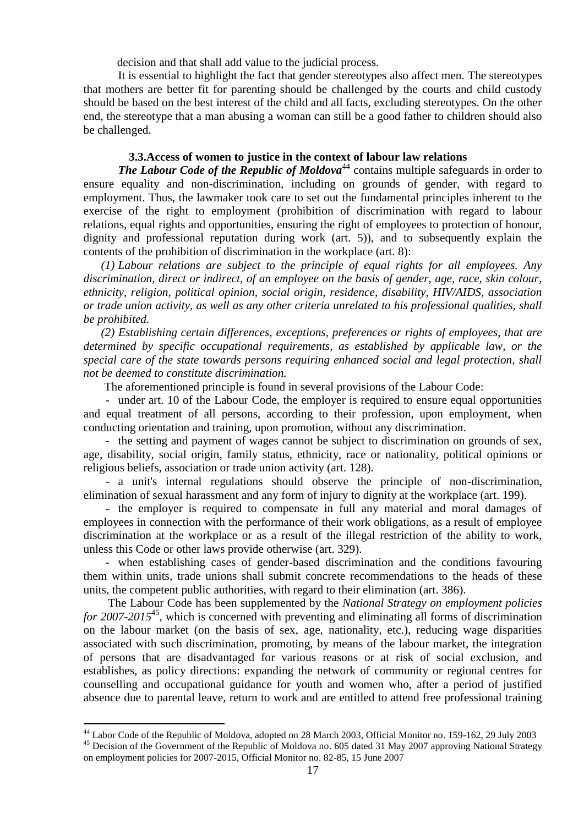decision and that shall add value to the judicial process.

It is essential to highlight the fact that gender stereotypes also affect men. The stereotypes that mothers are better fit for parenting should be challenged by the courts and child custody should be based on the best interest of the child and all facts, excluding stereotypes. On the other end, the stereotype that a man abusing a woman can still be a good father to children should also be challenged.

## **3.3.Access of women to justice in the context of labour law relations**

*The Labour Code of the Republic of Moldova*<sup>44</sup> contains multiple safeguards in order to ensure equality and non-discrimination, including on grounds of gender, with regard to employment. Thus, the lawmaker took care to set out the fundamental principles inherent to the exercise of the right to employment (prohibition of discrimination with regard to labour relations, equal rights and opportunities, ensuring the right of employees to protection of honour, dignity and professional reputation during work (art. 5)), and to subsequently explain the contents of the prohibition of discrimination in the workplace (art. 8):

*(1) Labour relations are subject to the principle of equal rights for all employees. Any discrimination, direct or indirect, of an employee on the basis of gender, age, race, skin colour, ethnicity, religion, political opinion, social origin, residence, disability, HIV/AIDS, association or trade union activity, as well as any other criteria unrelated to his professional qualities, shall be prohibited.*

*(2) Establishing certain differences, exceptions, preferences or rights of employees, that are determined by specific occupational requirements, as established by applicable law, or the special care of the state towards persons requiring enhanced social and legal protection, shall not be deemed to constitute discrimination.*

The aforementioned principle is found in several provisions of the Labour Code:

*-* under art. 10 of the Labour Code, the employer is required to ensure equal opportunities and equal treatment of all persons, according to their profession, upon employment, when conducting orientation and training, upon promotion, without any discrimination.

*-* the setting and payment of wages cannot be subject to discrimination on grounds of sex, age, disability, social origin, family status, ethnicity, race or nationality, political opinions or religious beliefs, association or trade union activity (art. 128).

*-* a unit's internal regulations should observe the principle of non-discrimination, elimination of sexual harassment and any form of injury to dignity at the workplace (art. 199).

*-* the employer is required to compensate in full any material and moral damages of employees in connection with the performance of their work obligations, as a result of employee discrimination at the workplace or as a result of the illegal restriction of the ability to work, unless this Code or other laws provide otherwise (art. 329).

*-* when establishing cases of gender-based discrimination and the conditions favouring them within units, trade unions shall submit concrete recommendations to the heads of these units, the competent public authorities, with regard to their elimination (art. 386).

The Labour Code has been supplemented by the *National Strategy on employment policies for 2007-2015*<sup>45</sup>, which is concerned with preventing and eliminating all forms of discrimination on the labour market (on the basis of sex, age, nationality, etc.), reducing wage disparities associated with such discrimination, promoting, by means of the labour market, the integration of persons that are disadvantaged for various reasons or at risk of social exclusion, and establishes, as policy directions: expanding the network of community or regional centres for counselling and occupational guidance for youth and women who, after a period of justified absence due to parental leave, return to work and are entitled to attend free professional training

<sup>&</sup>lt;sup>44</sup> Labor Code of the Republic of Moldova, adopted on 28 March 2003, Official Monitor no. 159-162, 29 July 2003

<sup>&</sup>lt;sup>45</sup> Decision of the Government of the Republic of Moldova no. 605 dated 31 May 2007 approving National Strategy on employment policies for 2007-2015, Official Monitor no. 82-85, 15 June 2007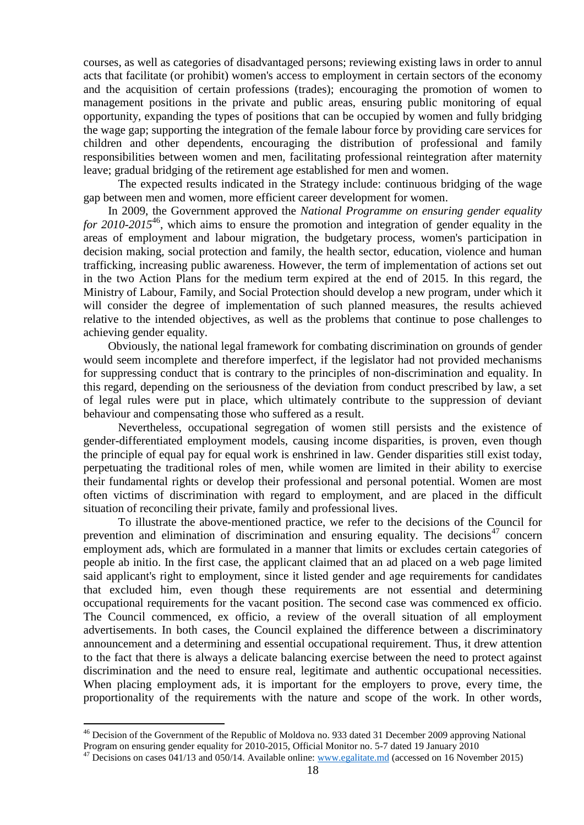courses, as well as categories of disadvantaged persons; reviewing existing laws in order to annul acts that facilitate (or prohibit) women's access to employment in certain sectors of the economy and the acquisition of certain professions (trades); encouraging the promotion of women to management positions in the private and public areas, ensuring public monitoring of equal opportunity, expanding the types of positions that can be occupied by women and fully bridging the wage gap; supporting the integration of the female labour force by providing care services for children and other dependents, encouraging the distribution of professional and family responsibilities between women and men, facilitating professional reintegration after maternity leave; gradual bridging of the retirement age established for men and women.

 The expected results indicated in the Strategy include: continuous bridging of the wage gap between men and women, more efficient career development for women.

In 2009, the Government approved the *National Programme on ensuring gender equality for 2010-2015*<sup>46</sup>, which aims to ensure the promotion and integration of gender equality in the areas of employment and labour migration, the budgetary process, women's participation in decision making, social protection and family, the health sector, education, violence and human trafficking, increasing public awareness. However, the term of implementation of actions set out in the two Action Plans for the medium term expired at the end of 2015. In this regard, the Ministry of Labour, Family, and Social Protection should develop a new program, under which it will consider the degree of implementation of such planned measures, the results achieved relative to the intended objectives, as well as the problems that continue to pose challenges to achieving gender equality.

Obviously, the national legal framework for combating discrimination on grounds of gender would seem incomplete and therefore imperfect, if the legislator had not provided mechanisms for suppressing conduct that is contrary to the principles of non-discrimination and equality. In this regard, depending on the seriousness of the deviation from conduct prescribed by law, a set of legal rules were put in place, which ultimately contribute to the suppression of deviant behaviour and compensating those who suffered as a result.

Nevertheless, occupational segregation of women still persists and the existence of gender-differentiated employment models, causing income disparities, is proven, even though the principle of equal pay for equal work is enshrined in law. Gender disparities still exist today, perpetuating the traditional roles of men, while women are limited in their ability to exercise their fundamental rights or develop their professional and personal potential. Women are most often victims of discrimination with regard to employment, and are placed in the difficult situation of reconciling their private, family and professional lives.

To illustrate the above-mentioned practice, we refer to the decisions of the Council for prevention and elimination of discrimination and ensuring equality. The decisions<sup>47</sup> concern employment ads, which are formulated in a manner that limits or excludes certain categories of people ab initio. In the first case, the applicant claimed that an ad placed on a web page limited said applicant's right to employment, since it listed gender and age requirements for candidates that excluded him, even though these requirements are not essential and determining occupational requirements for the vacant position. The second case was commenced ex officio. The Council commenced, ex officio, a review of the overall situation of all employment advertisements. In both cases, the Council explained the difference between a discriminatory announcement and a determining and essential occupational requirement. Thus, it drew attention to the fact that there is always a delicate balancing exercise between the need to protect against discrimination and the need to ensure real, legitimate and authentic occupational necessities. When placing employment ads, it is important for the employers to prove, every time, the proportionality of the requirements with the nature and scope of the work. In other words,

<sup>&</sup>lt;sup>46</sup> Decision of the Government of the Republic of Moldova no. 933 dated 31 December 2009 approving National Program on ensuring gender equality for 2010-2015, Official Monitor no. 5-7 dated 19 January 2010

<sup>&</sup>lt;sup>47</sup> Decisions on cases 041/13 and 050/14. Available online[: www.egalitate.md](file:///C:/Users/Olga/Desktop/www.egalitate.md) (accessed on 16 November 2015)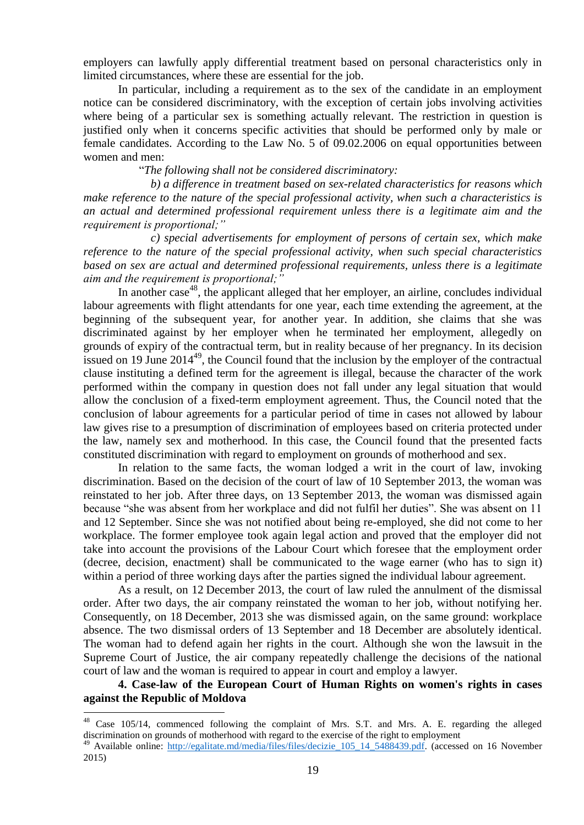employers can lawfully apply differential treatment based on personal characteristics only in limited circumstances, where these are essential for the job.

In particular, including a requirement as to the sex of the candidate in an employment notice can be considered discriminatory, with the exception of certain jobs involving activities where being of a particular sex is something actually relevant. The restriction in question is justified only when it concerns specific activities that should be performed only by male or female candidates. According to the Law No. 5 of 09.02.2006 on equal opportunities between women and men:

"*The following shall not be considered discriminatory:*

 *b) a difference in treatment based on sex-related characteristics for reasons which make reference to the nature of the special professional activity, when such a characteristics is an actual and determined professional requirement unless there is a legitimate aim and the requirement is proportional;"*

 *c) special advertisements for employment of persons of certain sex, which make reference to the nature of the special professional activity, when such special characteristics based on sex are actual and determined professional requirements, unless there is a legitimate aim and the requirement is proportional;"*

In another case<sup>48</sup>, the applicant alleged that her employer, an airline, concludes individual labour agreements with flight attendants for one year, each time extending the agreement, at the beginning of the subsequent year, for another year. In addition, she claims that she was discriminated against by her employer when he terminated her employment, allegedly on grounds of expiry of the contractual term, but in reality because of her pregnancy. In its decision issued on 19 June  $2014^{49}$ , the Council found that the inclusion by the employer of the contractual clause instituting a defined term for the agreement is illegal, because the character of the work performed within the company in question does not fall under any legal situation that would allow the conclusion of a fixed-term employment agreement. Thus, the Council noted that the conclusion of labour agreements for a particular period of time in cases not allowed by labour law gives rise to a presumption of discrimination of employees based on criteria protected under the law, namely sex and motherhood. In this case, the Council found that the presented facts constituted discrimination with regard to employment on grounds of motherhood and sex.

In relation to the same facts, the woman lodged a writ in the court of law, invoking discrimination. Based on the decision of the court of law of 10 September 2013, the woman was reinstated to her job. After three days, on 13 September 2013, the woman was dismissed again because "she was absent from her workplace and did not fulfil her duties". She was absent on 11 and 12 September. Since she was not notified about being re-employed, she did not come to her workplace. The former employee took again legal action and proved that the employer did not take into account the provisions of the Labour Court which foresee that the employment order (decree, decision, enactment) shall be communicated to the wage earner (who has to sign it) within a period of three working days after the parties signed the individual labour agreement.

As a result, on 12 December 2013, the court of law ruled the annulment of the dismissal order. After two days, the air company reinstated the woman to her job, without notifying her. Consequently, on 18 December, 2013 she was dismissed again, on the same ground: workplace absence. The two dismissal orders of 13 September and 18 December are absolutely identical. The woman had to defend again her rights in the court. Although she won the lawsuit in the Supreme Court of Justice, the air company repeatedly challenge the decisions of the national court of law and the woman is required to appear in court and employ a lawyer.

**4. Case-law of the European Court of Human Rights on women's rights in cases against the Republic of Moldova**

<sup>&</sup>lt;sup>48</sup> Case 105/14, commenced following the complaint of Mrs. S.T. and Mrs. A. E. regarding the alleged discrimination on grounds of motherhood with regard to the exercise of the right to employment

<sup>&</sup>lt;sup>49</sup> Available online: http://egalitate.md/media/files/files/decizie 105 14 5488439.pdf. (accessed on 16 November 2015)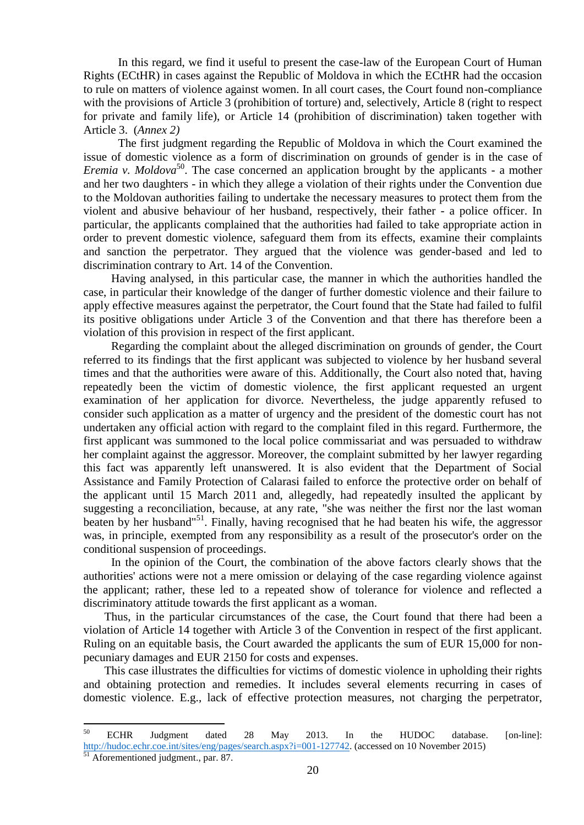In this regard, we find it useful to present the case-law of the European Court of Human Rights (ECtHR) in cases against the Republic of Moldova in which the ECtHR had the occasion to rule on matters of violence against women. In all court cases, the Court found non-compliance with the provisions of Article 3 (prohibition of torture) and, selectively, Article 8 (right to respect for private and family life), or Article 14 (prohibition of discrimination) taken together with Article 3. (*Annex 2)*

The first judgment regarding the Republic of Moldova in which the Court examined the issue of domestic violence as a form of discrimination on grounds of gender is in the case of *Eremia v. Moldova*<sup>50</sup>. The case concerned an application brought by the applicants - a mother and her two daughters - in which they allege a violation of their rights under the Convention due to the Moldovan authorities failing to undertake the necessary measures to protect them from the violent and abusive behaviour of her husband, respectively, their father - a police officer. In particular, the applicants complained that the authorities had failed to take appropriate action in order to prevent domestic violence, safeguard them from its effects, examine their complaints and sanction the perpetrator. They argued that the violence was gender-based and led to discrimination contrary to Art. 14 of the Convention.

Having analysed, in this particular case, the manner in which the authorities handled the case, in particular their knowledge of the danger of further domestic violence and their failure to apply effective measures against the perpetrator, the Court found that the State had failed to fulfil its positive obligations under Article 3 of the Convention and that there has therefore been a violation of this provision in respect of the first applicant.

Regarding the complaint about the alleged discrimination on grounds of gender, the Court referred to its findings that the first applicant was subjected to violence by her husband several times and that the authorities were aware of this. Additionally, the Court also noted that, having repeatedly been the victim of domestic violence, the first applicant requested an urgent examination of her application for divorce. Nevertheless, the judge apparently refused to consider such application as a matter of urgency and the president of the domestic court has not undertaken any official action with regard to the complaint filed in this regard. Furthermore, the first applicant was summoned to the local police commissariat and was persuaded to withdraw her complaint against the aggressor. Moreover, the complaint submitted by her lawyer regarding this fact was apparently left unanswered. It is also evident that the Department of Social Assistance and Family Protection of Calarasi failed to enforce the protective order on behalf of the applicant until 15 March 2011 and, allegedly, had repeatedly insulted the applicant by suggesting a reconciliation, because, at any rate, "she was neither the first nor the last woman beaten by her husband"<sup>51</sup>. Finally, having recognised that he had beaten his wife, the aggressor was, in principle, exempted from any responsibility as a result of the prosecutor's order on the conditional suspension of proceedings.

In the opinion of the Court, the combination of the above factors clearly shows that the authorities' actions were not a mere omission or delaying of the case regarding violence against the applicant; rather, these led to a repeated show of tolerance for violence and reflected a discriminatory attitude towards the first applicant as a woman.

Thus, in the particular circumstances of the case, the Court found that there had been a violation of Article 14 together with Article 3 of the Convention in respect of the first applicant. Ruling on an equitable basis, the Court awarded the applicants the sum of EUR 15,000 for nonpecuniary damages and EUR 2150 for costs and expenses.

This case illustrates the difficulties for victims of domestic violence in upholding their rights and obtaining protection and remedies. It includes several elements recurring in cases of domestic violence. E.g., lack of effective protection measures, not charging the perpetrator,

<sup>50</sup> <sup>50</sup> ECHR Judgment dated 28 May 2013. In the HUDOC database. [on-line]: [http://hudoc.echr.coe.int/sites/eng/pages/search.aspx?i=001-127742.](http://hudoc.echr.coe.int/sites/eng/pages/search.aspx?i=001-127742) (accessed on 10 November 2015)

 $\frac{51}{51}$  Aforementioned judgment., par. 87.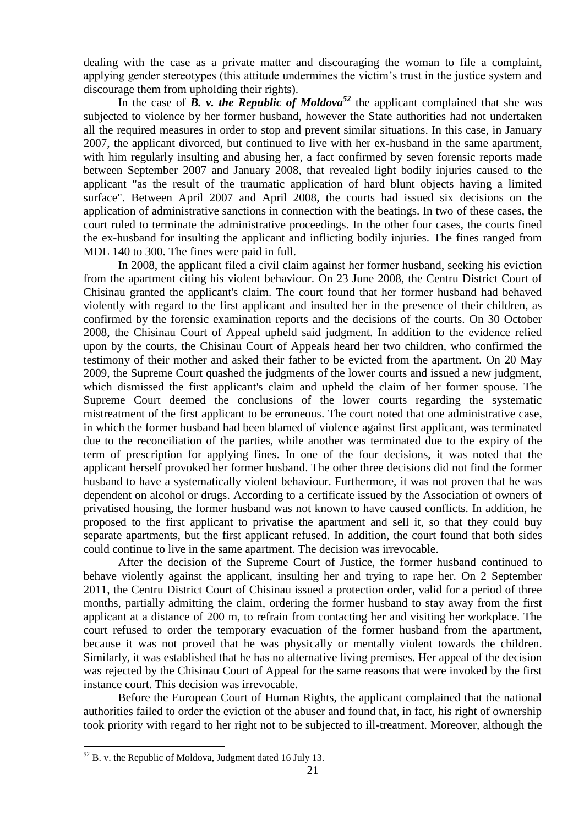dealing with the case as a private matter and discouraging the woman to file a complaint, applying gender stereotypes (this attitude undermines the victim's trust in the justice system and discourage them from upholding their rights).

In the case of  $\vec{B}$ ,  $\vec{v}$ , the Republic of Moldova<sup>52</sup> the applicant complained that she was subjected to violence by her former husband, however the State authorities had not undertaken all the required measures in order to stop and prevent similar situations. In this case, in January 2007, the applicant divorced, but continued to live with her ex-husband in the same apartment, with him regularly insulting and abusing her, a fact confirmed by seven forensic reports made between September 2007 and January 2008, that revealed light bodily injuries caused to the applicant "as the result of the traumatic application of hard blunt objects having a limited surface". Between April 2007 and April 2008, the courts had issued six decisions on the application of administrative sanctions in connection with the beatings. In two of these cases, the court ruled to terminate the administrative proceedings. In the other four cases, the courts fined the ex-husband for insulting the applicant and inflicting bodily injuries. The fines ranged from MDL 140 to 300. The fines were paid in full.

In 2008, the applicant filed a civil claim against her former husband, seeking his eviction from the apartment citing his violent behaviour. On 23 June 2008, the Centru District Court of Chisinau granted the applicant's claim. The court found that her former husband had behaved violently with regard to the first applicant and insulted her in the presence of their children, as confirmed by the forensic examination reports and the decisions of the courts. On 30 October 2008, the Chisinau Court of Appeal upheld said judgment. In addition to the evidence relied upon by the courts, the Chisinau Court of Appeals heard her two children, who confirmed the testimony of their mother and asked their father to be evicted from the apartment. On 20 May 2009, the Supreme Court quashed the judgments of the lower courts and issued a new judgment, which dismissed the first applicant's claim and upheld the claim of her former spouse. The Supreme Court deemed the conclusions of the lower courts regarding the systematic mistreatment of the first applicant to be erroneous. The court noted that one administrative case, in which the former husband had been blamed of violence against first applicant, was terminated due to the reconciliation of the parties, while another was terminated due to the expiry of the term of prescription for applying fines. In one of the four decisions, it was noted that the applicant herself provoked her former husband. The other three decisions did not find the former husband to have a systematically violent behaviour. Furthermore, it was not proven that he was dependent on alcohol or drugs. According to a certificate issued by the Association of owners of privatised housing, the former husband was not known to have caused conflicts. In addition, he proposed to the first applicant to privatise the apartment and sell it, so that they could buy separate apartments, but the first applicant refused. In addition, the court found that both sides could continue to live in the same apartment. The decision was irrevocable.

After the decision of the Supreme Court of Justice, the former husband continued to behave violently against the applicant, insulting her and trying to rape her. On 2 September 2011, the Centru District Court of Chisinau issued a protection order, valid for a period of three months, partially admitting the claim, ordering the former husband to stay away from the first applicant at a distance of 200 m, to refrain from contacting her and visiting her workplace. The court refused to order the temporary evacuation of the former husband from the apartment, because it was not proved that he was physically or mentally violent towards the children. Similarly, it was established that he has no alternative living premises. Her appeal of the decision was rejected by the Chisinau Court of Appeal for the same reasons that were invoked by the first instance court. This decision was irrevocable.

Before the European Court of Human Rights, the applicant complained that the national authorities failed to order the eviction of the abuser and found that, in fact, his right of ownership took priority with regard to her right not to be subjected to ill-treatment. Moreover, although the

 $52$  B. v. the Republic of Moldova, Judgment dated 16 July 13.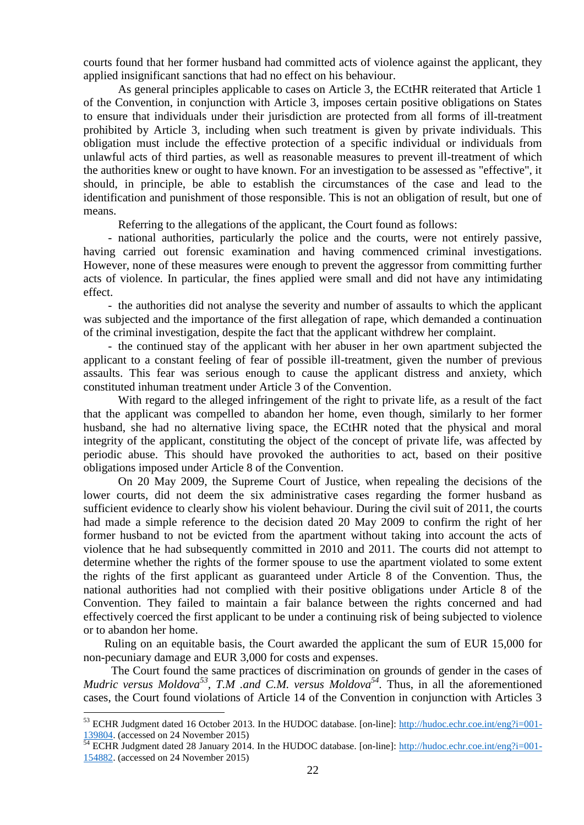courts found that her former husband had committed acts of violence against the applicant, they applied insignificant sanctions that had no effect on his behaviour.

As general principles applicable to cases on Article 3, the ECtHR reiterated that Article 1 of the Convention, in conjunction with Article 3, imposes certain positive obligations on States to ensure that individuals under their jurisdiction are protected from all forms of ill-treatment prohibited by Article 3, including when such treatment is given by private individuals. This obligation must include the effective protection of a specific individual or individuals from unlawful acts of third parties, as well as reasonable measures to prevent ill-treatment of which the authorities knew or ought to have known. For an investigation to be assessed as "effective", it should, in principle, be able to establish the circumstances of the case and lead to the identification and punishment of those responsible. This is not an obligation of result, but one of means.

Referring to the allegations of the applicant, the Court found as follows:

*-* national authorities, particularly the police and the courts, were not entirely passive, having carried out forensic examination and having commenced criminal investigations. However, none of these measures were enough to prevent the aggressor from committing further acts of violence. In particular, the fines applied were small and did not have any intimidating effect.

*-* the authorities did not analyse the severity and number of assaults to which the applicant was subjected and the importance of the first allegation of rape, which demanded a continuation of the criminal investigation, despite the fact that the applicant withdrew her complaint.

*-* the continued stay of the applicant with her abuser in her own apartment subjected the applicant to a constant feeling of fear of possible ill-treatment, given the number of previous assaults. This fear was serious enough to cause the applicant distress and anxiety, which constituted inhuman treatment under Article 3 of the Convention.

With regard to the alleged infringement of the right to private life, as a result of the fact that the applicant was compelled to abandon her home, even though, similarly to her former husband, she had no alternative living space, the ECtHR noted that the physical and moral integrity of the applicant, constituting the object of the concept of private life, was affected by periodic abuse. This should have provoked the authorities to act, based on their positive obligations imposed under Article 8 of the Convention.

On 20 May 2009, the Supreme Court of Justice, when repealing the decisions of the lower courts, did not deem the six administrative cases regarding the former husband as sufficient evidence to clearly show his violent behaviour. During the civil suit of 2011, the courts had made a simple reference to the decision dated 20 May 2009 to confirm the right of her former husband to not be evicted from the apartment without taking into account the acts of violence that he had subsequently committed in 2010 and 2011. The courts did not attempt to determine whether the rights of the former spouse to use the apartment violated to some extent the rights of the first applicant as guaranteed under Article 8 of the Convention. Thus, the national authorities had not complied with their positive obligations under Article 8 of the Convention. They failed to maintain a fair balance between the rights concerned and had effectively coerced the first applicant to be under a continuing risk of being subjected to violence or to abandon her home.

Ruling on an equitable basis, the Court awarded the applicant the sum of EUR 15,000 for non-pecuniary damage and EUR 3,000 for costs and expenses.

The Court found the same practices of discrimination on grounds of gender in the cases of *Mudric versus Moldova 53 , T.M .and C.M. versus Moldova 54 .* Thus, in all the aforementioned cases, the Court found violations of Article 14 of the Convention in conjunction with Articles 3

 $^{53}$  ECHR Judgment dated 16 October 2013. In the HUDOC database. [on-line]: [http://hudoc.echr.coe.int/eng?i=001-](http://hudoc.echr.coe.int/eng?i=001-139804) [139804.](http://hudoc.echr.coe.int/eng?i=001-139804) (accessed on 24 November 2015)

 $\frac{54}{14}$  ECHR Judgment dated 28 January 2014. In the HUDOC database. [on-line]: [http://hudoc.echr.coe.int/eng?i=001-](http://hudoc.echr.coe.int/eng?i=001-154882) [154882.](http://hudoc.echr.coe.int/eng?i=001-154882) (accessed on 24 November 2015)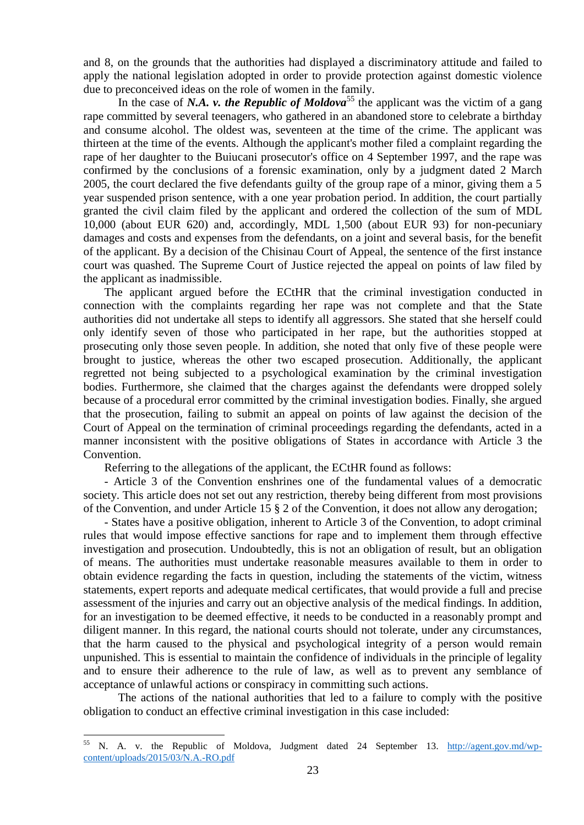and 8, on the grounds that the authorities had displayed a discriminatory attitude and failed to apply the national legislation adopted in order to provide protection against domestic violence due to preconceived ideas on the role of women in the family.

In the case of *N.A. v. the Republic of Moldova*<sup>55</sup> the applicant was the victim of a gang rape committed by several teenagers, who gathered in an abandoned store to celebrate a birthday and consume alcohol. The oldest was, seventeen at the time of the crime. The applicant was thirteen at the time of the events. Although the applicant's mother filed a complaint regarding the rape of her daughter to the Buiucani prosecutor's office on 4 September 1997, and the rape was confirmed by the conclusions of a forensic examination, only by a judgment dated 2 March 2005, the court declared the five defendants guilty of the group rape of a minor, giving them a 5 year suspended prison sentence, with a one year probation period. In addition, the court partially granted the civil claim filed by the applicant and ordered the collection of the sum of MDL 10,000 (about EUR 620) and, accordingly, MDL 1,500 (about EUR 93) for non-pecuniary damages and costs and expenses from the defendants, on a joint and several basis, for the benefit of the applicant. By a decision of the Chisinau Court of Appeal, the sentence of the first instance court was quashed. The Supreme Court of Justice rejected the appeal on points of law filed by the applicant as inadmissible.

The applicant argued before the ECtHR that the criminal investigation conducted in connection with the complaints regarding her rape was not complete and that the State authorities did not undertake all steps to identify all aggressors. She stated that she herself could only identify seven of those who participated in her rape, but the authorities stopped at prosecuting only those seven people. In addition, she noted that only five of these people were brought to justice, whereas the other two escaped prosecution. Additionally, the applicant regretted not being subjected to a psychological examination by the criminal investigation bodies. Furthermore, she claimed that the charges against the defendants were dropped solely because of a procedural error committed by the criminal investigation bodies. Finally, she argued that the prosecution, failing to submit an appeal on points of law against the decision of the Court of Appeal on the termination of criminal proceedings regarding the defendants, acted in a manner inconsistent with the positive obligations of States in accordance with Article 3 the Convention.

Referring to the allegations of the applicant, the ECtHR found as follows:

- Article 3 of the Convention enshrines one of the fundamental values of a democratic society. This article does not set out any restriction, thereby being different from most provisions of the Convention, and under Article 15 § 2 of the Convention, it does not allow any derogation;

- States have a positive obligation, inherent to Article 3 of the Convention, to adopt criminal rules that would impose effective sanctions for rape and to implement them through effective investigation and prosecution. Undoubtedly, this is not an obligation of result, but an obligation of means. The authorities must undertake reasonable measures available to them in order to obtain evidence regarding the facts in question, including the statements of the victim, witness statements, expert reports and adequate medical certificates, that would provide a full and precise assessment of the injuries and carry out an objective analysis of the medical findings. In addition, for an investigation to be deemed effective, it needs to be conducted in a reasonably prompt and diligent manner. In this regard, the national courts should not tolerate, under any circumstances, that the harm caused to the physical and psychological integrity of a person would remain unpunished. This is essential to maintain the confidence of individuals in the principle of legality and to ensure their adherence to the rule of law, as well as to prevent any semblance of acceptance of unlawful actions or conspiracy in committing such actions.

The actions of the national authorities that led to a failure to comply with the positive obligation to conduct an effective criminal investigation in this case included:

<sup>55</sup> N. A. v. the Republic of Moldova, Judgment dated 24 September 13. [http://agent.gov.md/wp](http://agent.gov.md/wp-content/uploads/2015/03/N.A.-RO.pdf)[content/uploads/2015/03/N.A.-RO.pdf](http://agent.gov.md/wp-content/uploads/2015/03/N.A.-RO.pdf)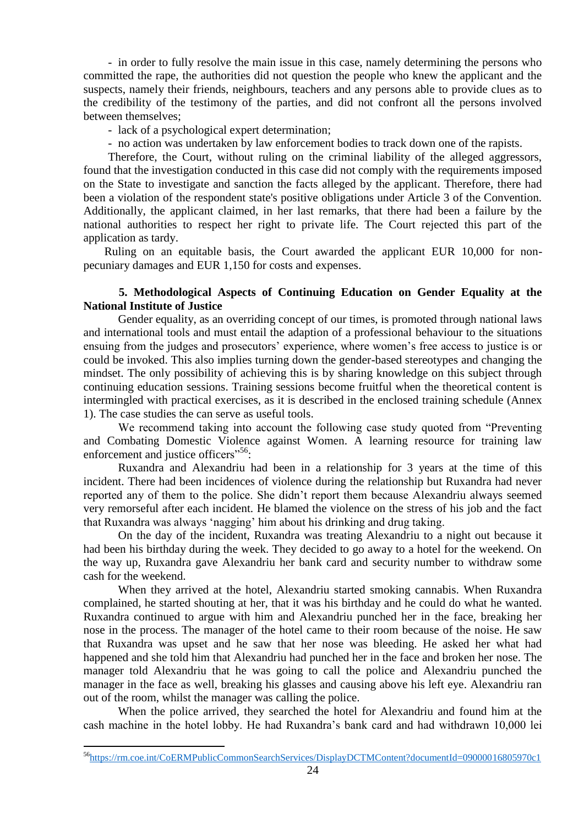*-* in order to fully resolve the main issue in this case, namely determining the persons who committed the rape, the authorities did not question the people who knew the applicant and the suspects, namely their friends, neighbours, teachers and any persons able to provide clues as to the credibility of the testimony of the parties, and did not confront all the persons involved between themselves;

*-* lack of a psychological expert determination;

*-* no action was undertaken by law enforcement bodies to track down one of the rapists.

Therefore, the Court, without ruling on the criminal liability of the alleged aggressors, found that the investigation conducted in this case did not comply with the requirements imposed on the State to investigate and sanction the facts alleged by the applicant. Therefore, there had been a violation of the respondent state's positive obligations under Article 3 of the Convention. Additionally, the applicant claimed, in her last remarks, that there had been a failure by the national authorities to respect her right to private life. The Court rejected this part of the application as tardy.

Ruling on an equitable basis, the Court awarded the applicant EUR 10,000 for nonpecuniary damages and EUR 1,150 for costs and expenses.

## **5. Methodological Aspects of Continuing Education on Gender Equality at the National Institute of Justice**

Gender equality, as an overriding concept of our times, is promoted through national laws and international tools and must entail the adaption of a professional behaviour to the situations ensuing from the judges and prosecutors' experience, where women's free access to justice is or could be invoked. This also implies turning down the gender-based stereotypes and changing the mindset. The only possibility of achieving this is by sharing knowledge on this subject through continuing education sessions. Training sessions become fruitful when the theoretical content is intermingled with practical exercises, as it is described in the enclosed training schedule (Annex 1). The case studies the can serve as useful tools.

We recommend taking into account the following case study quoted from "Preventing" and Combating Domestic Violence against Women. A learning resource for training law enforcement and justice officers<sup>"56</sup>:

Ruxandra and Alexandriu had been in a relationship for 3 years at the time of this incident. There had been incidences of violence during the relationship but Ruxandra had never reported any of them to the police. She didn't report them because Alexandriu always seemed very remorseful after each incident. He blamed the violence on the stress of his job and the fact that Ruxandra was always 'nagging' him about his drinking and drug taking.

On the day of the incident, Ruxandra was treating Alexandriu to a night out because it had been his birthday during the week. They decided to go away to a hotel for the weekend. On the way up, Ruxandra gave Alexandriu her bank card and security number to withdraw some cash for the weekend.

When they arrived at the hotel, Alexandriu started smoking cannabis. When Ruxandra complained, he started shouting at her, that it was his birthday and he could do what he wanted. Ruxandra continued to argue with him and Alexandriu punched her in the face, breaking her nose in the process. The manager of the hotel came to their room because of the noise. He saw that Ruxandra was upset and he saw that her nose was bleeding. He asked her what had happened and she told him that Alexandriu had punched her in the face and broken her nose. The manager told Alexandriu that he was going to call the police and Alexandriu punched the manager in the face as well, breaking his glasses and causing above his left eye. Alexandriu ran out of the room, whilst the manager was calling the police.

When the police arrived, they searched the hotel for Alexandriu and found him at the cash machine in the hotel lobby. He had Ruxandra's bank card and had withdrawn 10,000 lei

<sup>56</sup><https://rm.coe.int/CoERMPublicCommonSearchServices/DisplayDCTMContent?documentId=09000016805970c1>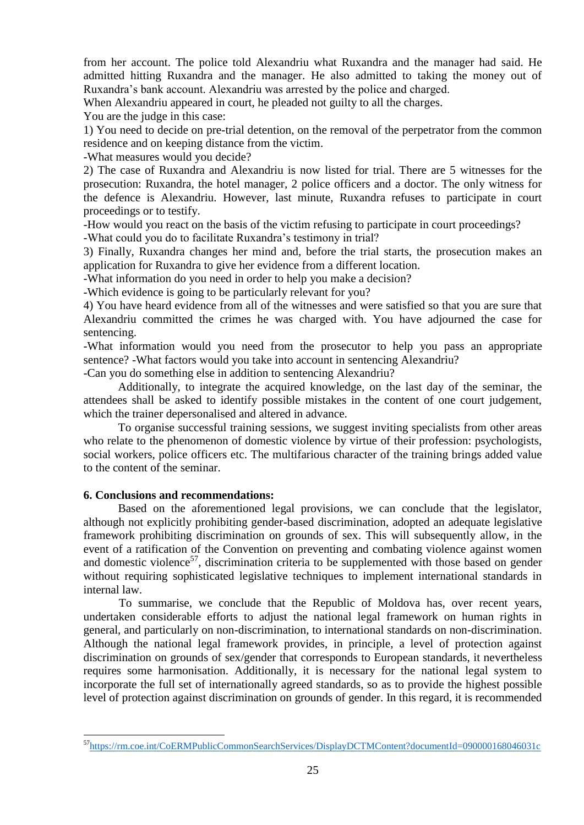from her account. The police told Alexandriu what Ruxandra and the manager had said. He admitted hitting Ruxandra and the manager. He also admitted to taking the money out of Ruxandra's bank account. Alexandriu was arrested by the police and charged.

When Alexandriu appeared in court, he pleaded not guilty to all the charges.

You are the judge in this case:

1) You need to decide on pre-trial detention, on the removal of the perpetrator from the common residence and on keeping distance from the victim.

-What measures would you decide?

2) The case of Ruxandra and Alexandriu is now listed for trial. There are 5 witnesses for the prosecution: Ruxandra, the hotel manager, 2 police officers and a doctor. The only witness for the defence is Alexandriu. However, last minute, Ruxandra refuses to participate in court proceedings or to testify.

-How would you react on the basis of the victim refusing to participate in court proceedings? -What could you do to facilitate Ruxandra's testimony in trial?

3) Finally, Ruxandra changes her mind and, before the trial starts, the prosecution makes an application for Ruxandra to give her evidence from a different location.

-What information do you need in order to help you make a decision?

-Which evidence is going to be particularly relevant for you?

4) You have heard evidence from all of the witnesses and were satisfied so that you are sure that Alexandriu committed the crimes he was charged with. You have adjourned the case for sentencing.

-What information would you need from the prosecutor to help you pass an appropriate sentence? -What factors would you take into account in sentencing Alexandriu?

-Can you do something else in addition to sentencing Alexandriu?

Additionally, to integrate the acquired knowledge, on the last day of the seminar, the attendees shall be asked to identify possible mistakes in the content of one court judgement, which the trainer depersonalised and altered in advance.

To organise successful training sessions, we suggest inviting specialists from other areas who relate to the phenomenon of domestic violence by virtue of their profession: psychologists, social workers, police officers etc. The multifarious character of the training brings added value to the content of the seminar.

### **6. Conclusions and recommendations:**

1

Based on the aforementioned legal provisions, we can conclude that the legislator, although not explicitly prohibiting gender-based discrimination, adopted an adequate legislative framework prohibiting discrimination on grounds of sex. This will subsequently allow, in the event of a ratification of the Convention on preventing and combating violence against women and domestic violence<sup>57</sup>, discrimination criteria to be supplemented with those based on gender without requiring sophisticated legislative techniques to implement international standards in internal law.

To summarise, we conclude that the Republic of Moldova has, over recent years, undertaken considerable efforts to adjust the national legal framework on human rights in general, and particularly on non-discrimination, to international standards on non-discrimination. Although the national legal framework provides, in principle, a level of protection against discrimination on grounds of sex/gender that corresponds to European standards, it nevertheless requires some harmonisation. Additionally, it is necessary for the national legal system to incorporate the full set of internationally agreed standards, so as to provide the highest possible level of protection against discrimination on grounds of gender. In this regard, it is recommended

<sup>57</sup><https://rm.coe.int/CoERMPublicCommonSearchServices/DisplayDCTMContent?documentId=090000168046031c>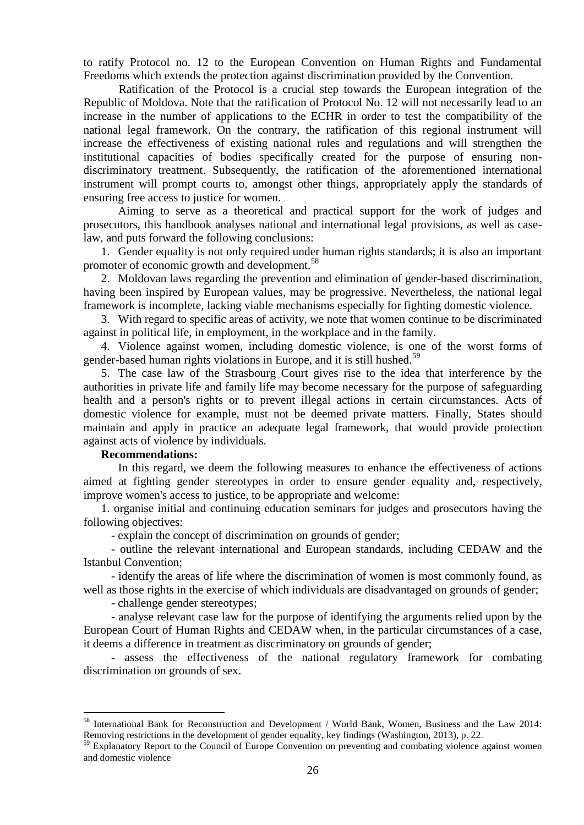to ratify Protocol no. 12 to the European Convention on Human Rights and Fundamental Freedoms which extends the protection against discrimination provided by the Convention.

Ratification of the Protocol is a crucial step towards the European integration of the Republic of Moldova. Note that the ratification of Protocol No. 12 will not necessarily lead to an increase in the number of applications to the ECHR in order to test the compatibility of the national legal framework. On the contrary, the ratification of this regional instrument will increase the effectiveness of existing national rules and regulations and will strengthen the institutional capacities of bodies specifically created for the purpose of ensuring nondiscriminatory treatment. Subsequently, the ratification of the aforementioned international instrument will prompt courts to, amongst other things, appropriately apply the standards of ensuring free access to justice for women.

Aiming to serve as a theoretical and practical support for the work of judges and prosecutors, this handbook analyses national and international legal provisions, as well as caselaw, and puts forward the following conclusions:

1. Gender equality is not only required under human rights standards; it is also an important promoter of economic growth and development.<sup>58</sup>

2. Moldovan laws regarding the prevention and elimination of gender-based discrimination, having been inspired by European values, may be progressive. Nevertheless, the national legal framework is incomplete, lacking viable mechanisms especially for fighting domestic violence.

3. With regard to specific areas of activity, we note that women continue to be discriminated against in political life, in employment, in the workplace and in the family.

4. Violence against women, including domestic violence, is one of the worst forms of gender-based human rights violations in Europe, and it is still hushed.<sup>59</sup>

5. The case law of the Strasbourg Court gives rise to the idea that interference by the authorities in private life and family life may become necessary for the purpose of safeguarding health and a person's rights or to prevent illegal actions in certain circumstances. Acts of domestic violence for example, must not be deemed private matters. Finally, States should maintain and apply in practice an adequate legal framework, that would provide protection against acts of violence by individuals.

#### **Recommendations:**

1

In this regard, we deem the following measures to enhance the effectiveness of actions aimed at fighting gender stereotypes in order to ensure gender equality and, respectively, improve women's access to justice, to be appropriate and welcome:

1. organise initial and continuing education seminars for judges and prosecutors having the following objectives:

- explain the concept of discrimination on grounds of gender;

- outline the relevant international and European standards, including CEDAW and the Istanbul Convention;

- identify the areas of life where the discrimination of women is most commonly found, as well as those rights in the exercise of which individuals are disadvantaged on grounds of gender;

- challenge gender stereotypes;

- analyse relevant case law for the purpose of identifying the arguments relied upon by the European Court of Human Rights and CEDAW when, in the particular circumstances of a case, it deems a difference in treatment as discriminatory on grounds of gender;

- assess the effectiveness of the national regulatory framework for combating discrimination on grounds of sex.

<sup>&</sup>lt;sup>58</sup> International Bank for Reconstruction and Development / World Bank, Women, Business and the Law 2014: Removing restrictions in the development of gender equality, key findings (Washington, 2013), p. 22.

<sup>&</sup>lt;sup>59</sup> Explanatory Report to the Council of Europe Convention on preventing and combating violence against women and domestic violence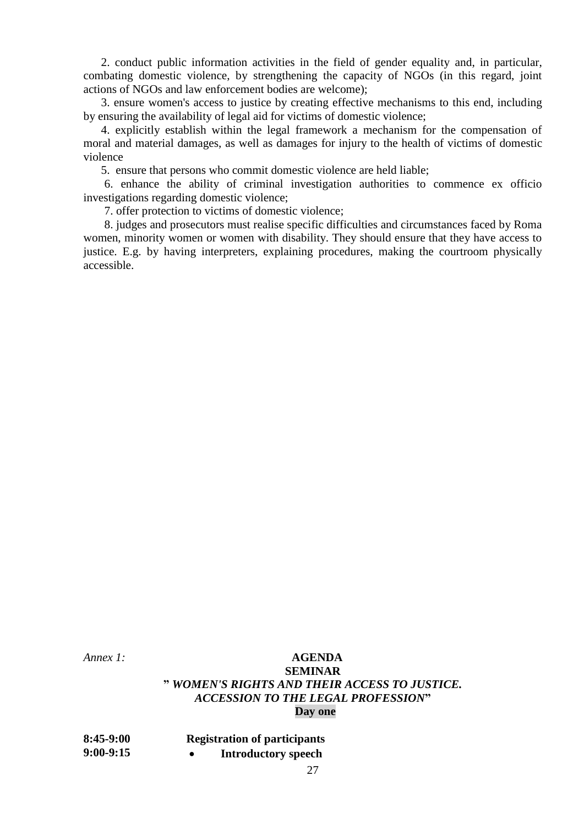2. conduct public information activities in the field of gender equality and, in particular, combating domestic violence, by strengthening the capacity of NGOs (in this regard, joint actions of NGOs and law enforcement bodies are welcome);

3. ensure women's access to justice by creating effective mechanisms to this end, including by ensuring the availability of legal aid for victims of domestic violence;

4. explicitly establish within the legal framework a mechanism for the compensation of moral and material damages, as well as damages for injury to the health of victims of domestic violence

5. ensure that persons who commit domestic violence are held liable;

6. enhance the ability of criminal investigation authorities to commence ex officio investigations regarding domestic violence;

7. offer protection to victims of domestic violence;

8. judges and prosecutors must realise specific difficulties and circumstances faced by Roma women, minority women or women with disability. They should ensure that they have access to justice. E.g. by having interpreters, explaining procedures, making the courtroom physically accessible.

## *Annex 1:* **AGENDA SEMINAR "** *WOMEN'S RIGHTS AND THEIR ACCESS TO JUSTICE. ACCESSION TO THE LEGAL PROFESSION***" Day one**

| $8:45-9:00$ | <b>Registration of participants</b> |
|-------------|-------------------------------------|
| $9:00-9:15$ | <b>Introductory speech</b>          |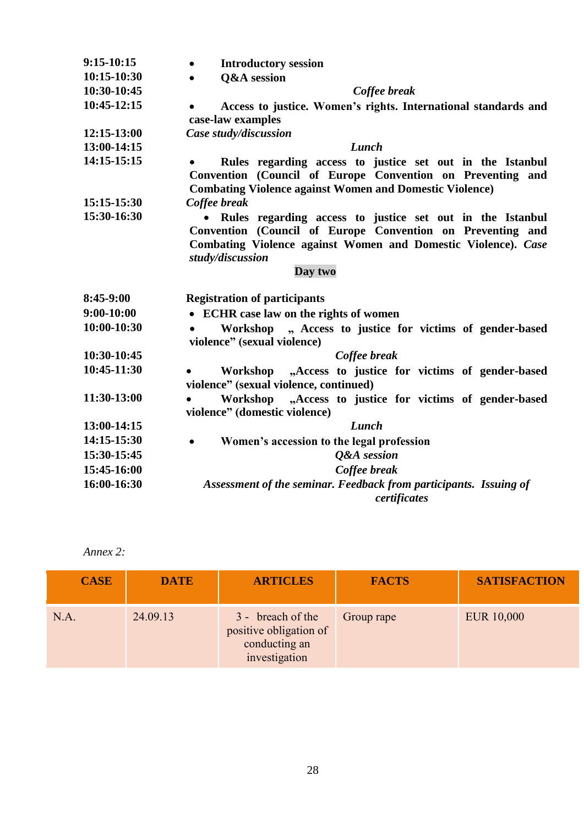| 9:15-10:15                                                                        | <b>Introductory session</b><br>$\bullet$                          |  |  |  |  |  |  |
|-----------------------------------------------------------------------------------|-------------------------------------------------------------------|--|--|--|--|--|--|
| 10:15-10:30                                                                       | <b>O&amp;A</b> session<br>$\bullet$                               |  |  |  |  |  |  |
| 10:30-10:45                                                                       | Coffee break                                                      |  |  |  |  |  |  |
| 10:45-12:15                                                                       | Access to justice. Women's rights. International standards and    |  |  |  |  |  |  |
|                                                                                   | case-law examples                                                 |  |  |  |  |  |  |
| 12:15-13:00                                                                       | Case study/discussion                                             |  |  |  |  |  |  |
| 13:00-14:15                                                                       | Lunch                                                             |  |  |  |  |  |  |
| 14:15-15:15                                                                       | Rules regarding access to justice set out in the Istanbul         |  |  |  |  |  |  |
|                                                                                   | Convention (Council of Europe Convention on Preventing and        |  |  |  |  |  |  |
|                                                                                   | <b>Combating Violence against Women and Domestic Violence)</b>    |  |  |  |  |  |  |
| 15:15-15:30                                                                       | Coffee break                                                      |  |  |  |  |  |  |
| 15:30-16:30                                                                       | • Rules regarding access to justice set out in the Istanbul       |  |  |  |  |  |  |
|                                                                                   | Convention (Council of Europe Convention on Preventing and        |  |  |  |  |  |  |
| Combating Violence against Women and Domestic Violence). Case<br>study/discussion |                                                                   |  |  |  |  |  |  |
|                                                                                   | Day two                                                           |  |  |  |  |  |  |
|                                                                                   |                                                                   |  |  |  |  |  |  |
| 8:45-9:00                                                                         | <b>Registration of participants</b>                               |  |  |  |  |  |  |
| 9:00-10:00                                                                        | • ECHR case law on the rights of women                            |  |  |  |  |  |  |
| 10:00-10:30                                                                       | Workshop<br>", Access to justice for victims of gender-based      |  |  |  |  |  |  |
|                                                                                   | violence" (sexual violence)                                       |  |  |  |  |  |  |
| 10:30-10:45                                                                       | Coffee break                                                      |  |  |  |  |  |  |
| 10:45-11:30                                                                       | "Access to justice for victims of gender-based<br>Workshop        |  |  |  |  |  |  |
|                                                                                   | violence" (sexual violence, continued)                            |  |  |  |  |  |  |
| 11:30-13:00                                                                       | "Access to justice for victims of gender-based<br>Workshop        |  |  |  |  |  |  |
|                                                                                   | violence" (domestic violence)                                     |  |  |  |  |  |  |
| 13:00-14:15                                                                       | Lunch                                                             |  |  |  |  |  |  |
| 14:15-15:30                                                                       | Women's accession to the legal profession<br>$\bullet$            |  |  |  |  |  |  |
| 15:30-15:45                                                                       | <b>Q&amp;A</b> session                                            |  |  |  |  |  |  |
| 15:45-16:00                                                                       | Coffee break                                                      |  |  |  |  |  |  |
| 16:00-16:30                                                                       | Assessment of the seminar. Feedback from participants. Issuing of |  |  |  |  |  |  |
|                                                                                   | certificates                                                      |  |  |  |  |  |  |

*Annex 2:* 

| <b>CASE</b> | <b>DATE</b> | <b>ARTICLES</b>                                                               | <b>FACTS</b> | <b>SATISFACTION</b> |
|-------------|-------------|-------------------------------------------------------------------------------|--------------|---------------------|
| N.A         | 24.09.13    | 3 - breach of the<br>positive obligation of<br>conducting an<br>investigation | Group rape   | <b>EUR 10,000</b>   |